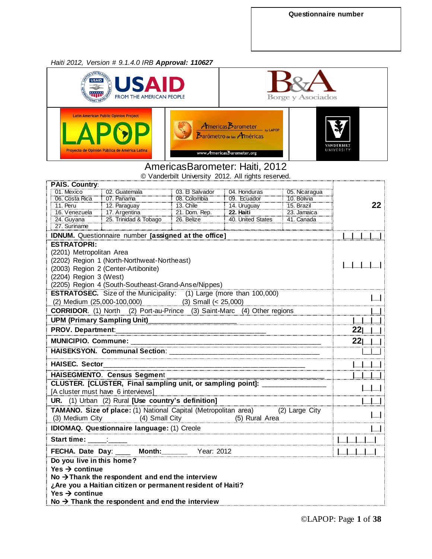### *Haiti 2012, Version # 9.1.4.0 IRB Approval: 110627*



## AmericasBarometer: Haiti, 2012

© Vanderbilt University 2012. All rights reserved.

| <b>PAIS. Country:</b>                       |                                                                                        |                  |                   |               |    |  |  |
|---------------------------------------------|----------------------------------------------------------------------------------------|------------------|-------------------|---------------|----|--|--|
| 01. Mexico                                  | 02. Guatemala                                                                          | 03. El Salvador  | 04. Honduras      | 05. Nicaragua |    |  |  |
| 06. Costa Rica                              | 07. Panama                                                                             | 08. Colombia     | 09. Ecuador       | 10. Bolivia   |    |  |  |
| 11. Peru                                    | 12. Paraguay                                                                           | <b>13. Chile</b> | 14. Uruguay       | 15. Brazil    | 22 |  |  |
| 16. Venezuela 17. Argentina                 |                                                                                        | 21. Dom. Rep.    | 22. Haiti         | 23. Jamaica   |    |  |  |
| 24. Guyana                                  | 25. Trinidad & Tobago                                                                  | $26.$ Belize     | 40. United States | 41. Canada    |    |  |  |
|                                             | 27. Suriname                                                                           |                  |                   |               |    |  |  |
|                                             | IDNUM. Questionnaire number [assigned at the office]                                   |                  |                   |               |    |  |  |
| <b>ESTRATOPRI:</b>                          |                                                                                        |                  |                   |               |    |  |  |
| (2201) Metropolitan Area                    |                                                                                        |                  |                   |               |    |  |  |
| (2202) Region 1 (North-Northweat-Northeast) |                                                                                        |                  |                   |               |    |  |  |
|                                             | (2003) Region 2 (Center-Artibonite)                                                    |                  |                   |               |    |  |  |
| (2204) Region 3 (West)                      |                                                                                        |                  |                   |               |    |  |  |
|                                             | (2205) Region 4 (South-Southeast-Grand-Anse/Nippes)                                    |                  |                   |               |    |  |  |
|                                             | <b>ESTRATOSEC.</b> Size of the Municipality: (1) Large (more than 100,000)             |                  |                   |               |    |  |  |
|                                             | (2) Medium (25,000-100,000) (3) Small (< 25,000)                                       |                  |                   |               |    |  |  |
|                                             | <b>CORRIDOR.</b> (1) North (2) Port-au-Prince (3) Saint-Marc (4) Other regions         |                  |                   |               |    |  |  |
|                                             |                                                                                        |                  |                   |               |    |  |  |
| <b>PROV. Department:</b>                    |                                                                                        | 221              |                   |               |    |  |  |
|                                             | 221                                                                                    |                  |                   |               |    |  |  |
|                                             |                                                                                        |                  |                   |               |    |  |  |
|                                             |                                                                                        |                  |                   |               |    |  |  |
| <b>HAISEC. Sector</b>                       |                                                                                        |                  |                   |               |    |  |  |
|                                             | HAISEGMENTO. Census Segment                                                            |                  |                   |               |    |  |  |
|                                             | <u>CLUSTER.</u> [CLUSTER, Final sampling unit, or sampling point]: ___________________ |                  |                   |               |    |  |  |
|                                             | [A cluster must have 6 interviews]                                                     |                  |                   |               |    |  |  |
|                                             | UR. (1) Urban (2) Rural [Use country's definition]                                     |                  |                   |               |    |  |  |
|                                             | <b>TAMANO.</b> Size of place: (1) National Capital (Metropolitan area) (2) Large City  |                  |                   |               |    |  |  |
|                                             | (3) Medium City (4) Small City (5) Rural Area                                          |                  |                   |               |    |  |  |
|                                             |                                                                                        |                  |                   |               |    |  |  |
| Start time: :                               |                                                                                        |                  |                   |               |    |  |  |
|                                             | FECHA. Date Day: _____ Month: _______ Year: 2012                                       |                  |                   |               |    |  |  |
| Do you live in this home?                   |                                                                                        |                  |                   |               |    |  |  |
| Yes $\rightarrow$ continue                  |                                                                                        |                  |                   |               |    |  |  |
|                                             | No $\rightarrow$ Thank the respondent and end the interview                            |                  |                   |               |    |  |  |
|                                             | ¿Are you a Haitian citizen or permanent resident of Haiti?                             |                  |                   |               |    |  |  |
| Yes $\rightarrow$ continue                  |                                                                                        |                  |                   |               |    |  |  |
|                                             |                                                                                        |                  |                   |               |    |  |  |
|                                             | No $\rightarrow$ Thank the respondent and end the interview                            |                  |                   |               |    |  |  |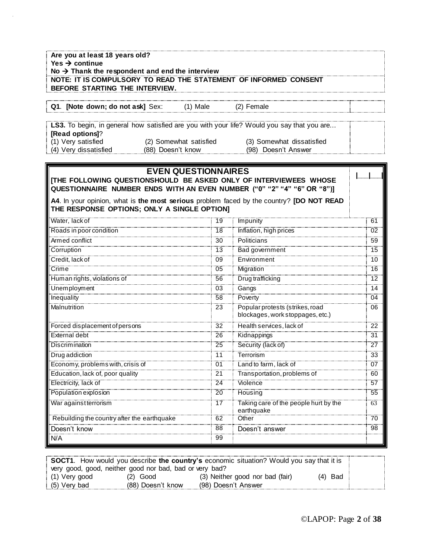| Are you at least 18 years old?<br>Yes $\rightarrow$ continue<br>No $\rightarrow$ Thank the respondent and end the interview |                            |    |                                                                                            |                            |
|-----------------------------------------------------------------------------------------------------------------------------|----------------------------|----|--------------------------------------------------------------------------------------------|----------------------------|
| NOTE: IT IS COMPULSORY TO READ THE STATEMENT OF INFORMED CONSENT                                                            |                            |    |                                                                                            |                            |
| BEFORE STARTING THE INTERVIEW.                                                                                              |                            |    |                                                                                            |                            |
| Q1. [Note down; do not ask] Sex:                                                                                            | $(1)$ Male                 |    | (2) Female                                                                                 |                            |
|                                                                                                                             |                            |    |                                                                                            |                            |
|                                                                                                                             |                            |    | LS3. To begin, in general how satisfied are you with your life? Would you say that you are |                            |
| [Read options]?<br>(1) Very satisfied                                                                                       | (2) Somewhat satisfied     |    | (3) Somewhat dissatisfied                                                                  |                            |
| (4) Very dissatisfied                                                                                                       | (88) Doesn't know          |    | (98) Doesn't Answer                                                                        |                            |
|                                                                                                                             |                            |    |                                                                                            |                            |
|                                                                                                                             | <b>EVEN QUESTIONNAIRES</b> |    |                                                                                            |                            |
|                                                                                                                             |                            |    | [THE FOLLOWING QUESTIONSHOULD BE ASKED ONLY OF INTERVIEWEES WHOSE                          |                            |
|                                                                                                                             |                            |    | QUESTIONNAIRE NUMBER ENDS WITH AN EVEN NUMBER ("0" "2" "4" "6" OR "8")]                    |                            |
|                                                                                                                             |                            |    | A4. In your opinion, what is the most serious problem faced by the country? [DO NOT READ   |                            |
| THE RESPONSE OPTIONS; ONLY A SINGLE OPTION]                                                                                 |                            |    |                                                                                            |                            |
| Water, lack of                                                                                                              |                            | 19 | Impunity                                                                                   | 61                         |
| Roads in poor condition                                                                                                     |                            | 18 | Inflation, high prices                                                                     | $\overline{0}\overline{2}$ |
| Armed conflict                                                                                                              |                            | 30 | <b>Politicians</b>                                                                         | 59                         |
| Corruption                                                                                                                  |                            | 13 | Bad government                                                                             | 15                         |
| Credit, lack of                                                                                                             |                            | 09 | Environment                                                                                | 10                         |
| $\overline{\mathsf{Crime}}$                                                                                                 |                            | 05 | Migration                                                                                  | 16                         |
| Human rights, violations of                                                                                                 |                            | 56 | Drug trafficking                                                                           | 12                         |
| Unemployment                                                                                                                |                            | 03 | Gangs                                                                                      | 14                         |
| Inequality                                                                                                                  |                            | 58 | Poverty                                                                                    | 04                         |
| <b>Malnutrition</b>                                                                                                         |                            | 23 | Popular protests (strikes, road                                                            | 06                         |
|                                                                                                                             |                            |    | blockages, work stoppages, etc.)                                                           |                            |
| Forced displacement of persons                                                                                              |                            | 32 | Health services, lack of                                                                   | 22                         |
| <b>External debt</b>                                                                                                        |                            | 26 | Kidnappings                                                                                | 31                         |
| <b>Discrimination</b>                                                                                                       |                            | 25 | Security (lack of)                                                                         | $\overline{27}$            |
| Drug addiction                                                                                                              |                            | 11 | Terrorism                                                                                  | 33                         |
| Economy, problems with, crisis of                                                                                           |                            | U1 | Land to farm, lack of                                                                      | U7                         |
| Education, lack of, poor quality                                                                                            |                            | 21 | Transportation, problems of                                                                | 60                         |
| Electricity, lack of                                                                                                        |                            | 24 | Violence                                                                                   | $\overline{57}$            |
| Population explosion                                                                                                        |                            | 20 | Housing                                                                                    | 55                         |
| War against terrorism                                                                                                       |                            | 17 | Taking care of the people hurt by the<br>earthquake                                        | $\overline{63}$            |
| Rebuilding the country after the earthquake                                                                                 |                            | 62 | Other                                                                                      | $\overline{70}$            |
| Doesn't know                                                                                                                |                            | 88 | Doesn't answer                                                                             | 98                         |
| N/A                                                                                                                         |                            | 99 |                                                                                            |                            |

|                 |                                                         | <b>SOCT1.</b> How would you describe the country's economic situation? Would you say that it is |           |  |
|-----------------|---------------------------------------------------------|-------------------------------------------------------------------------------------------------|-----------|--|
|                 | very good, good, neither good nor bad, bad or very bad? |                                                                                                 |           |  |
| : (1) Very good | $(2)$ Good                                              | (3) Neither good nor bad (fair)                                                                 | $(4)$ Bad |  |
| (5) Very bad    | (88) Doesn't know                                       | (98) Doesn't Answer                                                                             |           |  |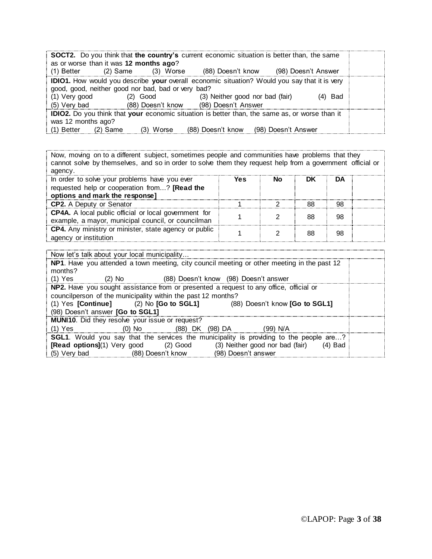| <b>SOCT2.</b> Do you think that the country's current economic situation is better than, the same<br>as or worse than it was 12 months ago?<br>(98) Doesn't Answer<br>(2) Same<br>(88) Doesn't know<br>(1) Better<br>(3) Worse                                                                  |  |
|-------------------------------------------------------------------------------------------------------------------------------------------------------------------------------------------------------------------------------------------------------------------------------------------------|--|
| <b>IDIO1.</b> How would you describe your overall economic situation? Would you say that it is very<br>good, good, neither good nor bad, bad or very bad?<br>(1) Very good<br>(3) Neither good nor bad (fair)<br>$(2)$ Good<br>(4) Bad<br>(5) Very bad<br>(88) Doesn't know (98) Doesn't Answer |  |
| <b>IDIO2.</b> Do you think that your economic situation is better than, the same as, or worse than it<br>was 12 months ago?<br>(88) Doesn't know<br>(1) Better<br>$(2)$ Same<br>(98) Doesn't Answer<br>(3) Worse                                                                                |  |

Now, moving on to a different subject, sometimes people and communities have problems that they cannot solve by themselves, and so in order to solve them they request help from a government official or agency.

| In order to solve your problems have you ever                | <b>Yes</b> | Nο | DK | DA |  |
|--------------------------------------------------------------|------------|----|----|----|--|
| requested help or cooperation from? [Read the                |            |    |    |    |  |
| options and mark the response]                               |            |    |    |    |  |
| <b>CP2.</b> A Deputy or Senator                              |            |    | 88 | 98 |  |
| <b>CP4A.</b> A local public official or local government for |            |    | 88 | 98 |  |
| example, a mayor, municipal council, or councilman           |            |    |    |    |  |
| CP4. Any ministry or minister, state agency or public        |            |    | 88 | 98 |  |
| agency or institution                                        |            |    |    |    |  |

| Now let's talk about your local municipality                                                  |  |
|-----------------------------------------------------------------------------------------------|--|
| NP1. Have you attended a town meeting, city council meeting or other meeting in the past 12   |  |
| months?                                                                                       |  |
| (1) Yes<br>(2) No (88) Doesn't know (98) Doesn't answer                                       |  |
| NP2. Have you sought assistance from or presented a request to any office, official or        |  |
| councilperson of the municipality within the past 12 months?                                  |  |
| (1) Yes [Continue] (2) No [Go to SGL1] (88) Doesn't know [Go to SGL1]                         |  |
| (98) Doesn't answer [Go to SGL1]                                                              |  |
| <b>MUNI10.</b> Did they resolve your issue or request?                                        |  |
| (1) Yes                       (0) No             (88) DK   (98) DA           (99) N/A         |  |
| <b>SGL1.</b> Would you say that the services the municipality is providing to the people are? |  |
| <b>[Read options]</b> (1) Very good (2) Good (3) Neither good nor bad (fair) (4) Bad          |  |
| (5) Very bad (88) Doesn't know<br>(98) Doesn't answer                                         |  |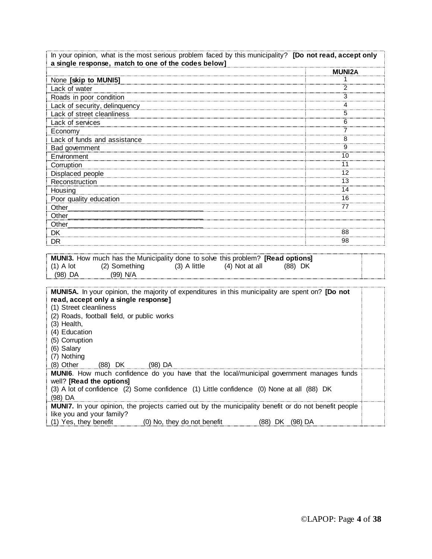| In your opinion, what is the most serious problem faced by this municipality? [Do not read, accept only<br>a single response, match to one of the codes below]                                                                                                                                                                                                                                                                                                                                                                                                      |               |  |  |  |  |
|---------------------------------------------------------------------------------------------------------------------------------------------------------------------------------------------------------------------------------------------------------------------------------------------------------------------------------------------------------------------------------------------------------------------------------------------------------------------------------------------------------------------------------------------------------------------|---------------|--|--|--|--|
|                                                                                                                                                                                                                                                                                                                                                                                                                                                                                                                                                                     | <b>MUNI2A</b> |  |  |  |  |
| None [skip to MUNI5]                                                                                                                                                                                                                                                                                                                                                                                                                                                                                                                                                | 1             |  |  |  |  |
| Lack of water                                                                                                                                                                                                                                                                                                                                                                                                                                                                                                                                                       |               |  |  |  |  |
| Roads in poor condition                                                                                                                                                                                                                                                                                                                                                                                                                                                                                                                                             | 3             |  |  |  |  |
| Lack of security, delinquency [1993] [1994] [1995] [1995] [1995] [1996] [1995] [1996] [1996] [1996] [1996] [1                                                                                                                                                                                                                                                                                                                                                                                                                                                       | 4             |  |  |  |  |
| Lack of street cleanliness                                                                                                                                                                                                                                                                                                                                                                                                                                                                                                                                          | 5             |  |  |  |  |
| Lack of services                                                                                                                                                                                                                                                                                                                                                                                                                                                                                                                                                    | 6             |  |  |  |  |
| Economy                                                                                                                                                                                                                                                                                                                                                                                                                                                                                                                                                             | 7             |  |  |  |  |
|                                                                                                                                                                                                                                                                                                                                                                                                                                                                                                                                                                     | 8             |  |  |  |  |
| Bad government                                                                                                                                                                                                                                                                                                                                                                                                                                                                                                                                                      | 9             |  |  |  |  |
| Environment                                                                                                                                                                                                                                                                                                                                                                                                                                                                                                                                                         | 10            |  |  |  |  |
| Corruption                                                                                                                                                                                                                                                                                                                                                                                                                                                                                                                                                          | 11            |  |  |  |  |
| Displaced people                                                                                                                                                                                                                                                                                                                                                                                                                                                                                                                                                    | 12            |  |  |  |  |
| Reconstruction                                                                                                                                                                                                                                                                                                                                                                                                                                                                                                                                                      | 13            |  |  |  |  |
| Housing                                                                                                                                                                                                                                                                                                                                                                                                                                                                                                                                                             | 14            |  |  |  |  |
| Poor quality education                                                                                                                                                                                                                                                                                                                                                                                                                                                                                                                                              | 16            |  |  |  |  |
| Other                                                                                                                                                                                                                                                                                                                                                                                                                                                                                                                                                               | 77            |  |  |  |  |
| Other                                                                                                                                                                                                                                                                                                                                                                                                                                                                                                                                                               |               |  |  |  |  |
| Other_                                                                                                                                                                                                                                                                                                                                                                                                                                                                                                                                                              |               |  |  |  |  |
| DK                                                                                                                                                                                                                                                                                                                                                                                                                                                                                                                                                                  | 88            |  |  |  |  |
| DR.                                                                                                                                                                                                                                                                                                                                                                                                                                                                                                                                                                 | 98            |  |  |  |  |
| MUNI3. How much has the Municipality done to solve this problem? [Read options]<br>(2) Something (3) A little (4) Not at all<br>$(1)$ A lot<br>(88) DK<br>$(99)$ N/A<br>(98) DA                                                                                                                                                                                                                                                                                                                                                                                     |               |  |  |  |  |
| MUNI5A. In your opinion, the majority of expenditures in this municipality are spent on? [Do not<br>read, accept only a single response]<br>(1) Street cleanliness<br>(2) Roads, football field, or public works<br>(3) Health,<br>(4) Education<br>(5) Corruption<br>(6) Salary<br>(7) Nothing<br>(8) Other (88) DK<br>$(98)$ DA<br>MUNI6. How much confidence do you have that the local/municipal government manages funds<br>well? [Read the options]<br>(3) A lot of confidence (2) Some confidence (1) Little confidence (0) None at all (88) DK<br>$(98)$ DA |               |  |  |  |  |
| MUNI7. In your opinion, the projects carried out by the municipality benefit or do not benefit people<br>like you and your family?<br>(1) Yes, they benefit<br>(0) No, they do not benefit<br>(88) DK (98) DA                                                                                                                                                                                                                                                                                                                                                       |               |  |  |  |  |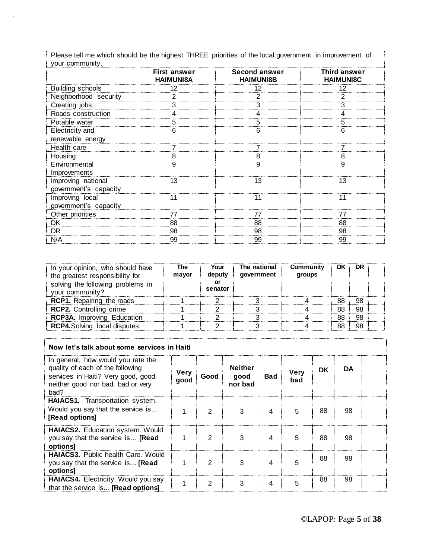Please tell me which should be the highest THREE priorities of the local government in improvement of your community.

|                                             | First answer<br><b>HAIMUNI8A</b> | <b>Second answer</b><br><b>HAIMUNI8B</b> | Third answer<br><b>HAIMUNI8C</b> |
|---------------------------------------------|----------------------------------|------------------------------------------|----------------------------------|
| <b>Building schools</b>                     |                                  |                                          |                                  |
| Neighborhood security                       |                                  |                                          |                                  |
| Creating jobs                               |                                  |                                          |                                  |
| Roads construction                          |                                  |                                          |                                  |
| Potable water                               |                                  |                                          |                                  |
| <b>Electricity</b> and                      |                                  |                                          |                                  |
| renewable energy                            |                                  |                                          |                                  |
| Health care                                 |                                  |                                          |                                  |
| Housing                                     |                                  |                                          |                                  |
| Environmental<br>Improvements               |                                  |                                          |                                  |
| Improving national<br>government's capacity | 13                               | 13                                       | 13                               |
| Improving local<br>government's capacity    |                                  |                                          |                                  |
| Other priorities                            |                                  |                                          |                                  |
| <b>DK</b>                                   | 88                               | 88                                       | 88                               |
| DR                                          | 98                               | 98                                       | 98                               |
| N/A                                         | 99                               | 99                                       | 99                               |

| In your opinion, who should have<br>the greatest responsibility for<br>solving the following problems in<br>vour community? | The<br>mayor | Your<br>deputy<br>senator | The national<br>government | Community<br>groups | DK | DR |  |
|-----------------------------------------------------------------------------------------------------------------------------|--------------|---------------------------|----------------------------|---------------------|----|----|--|
| <b>RCP1.</b> Repairing the roads                                                                                            |              |                           |                            |                     | 88 | 98 |  |
| <b>RCP2.</b> Controlling crime                                                                                              |              |                           |                            |                     |    | 98 |  |
| <b>RCP3A.</b> Improving Education                                                                                           |              |                           |                            |                     |    | 98 |  |
| <b>RCP4.</b> Solving local disputes                                                                                         |              |                           |                            |                     |    | 98 |  |

| Now let's talk about some services in Haiti                                                                                                                |                     |      |                                   |            |                    |    |    |  |
|------------------------------------------------------------------------------------------------------------------------------------------------------------|---------------------|------|-----------------------------------|------------|--------------------|----|----|--|
| In general, how would you rate the<br>quality of each of the following<br>services in Haiti? Very good, good,<br>neither good nor bad, bad or very<br>bad? | <b>Very</b><br>qood | Good | <b>Neither</b><br>good<br>nor bad | <b>Bad</b> | <b>Very</b><br>bad | DK | DA |  |
| HAIACS1. Transportation system.<br>Would you say that the service is<br>[Read options]                                                                     |                     | 2    | З                                 | 4          | 5                  | 88 | 98 |  |
| HAIACS2. Education system. Would<br>you say that the service is [Read<br>options]                                                                          |                     | 2    | 3                                 | 4          | 5                  | 88 | 98 |  |
| <b>HAIACS3.</b> Public health Care. Would<br>you say that the service is [Read<br>options]                                                                 |                     | 2    | 3                                 | 4          | 5                  | 88 | 98 |  |
| HAIACS4. Electricity. Would you say<br>that the service is [Read options]                                                                                  |                     | 2    | З                                 | 4          | 5                  | 88 | 98 |  |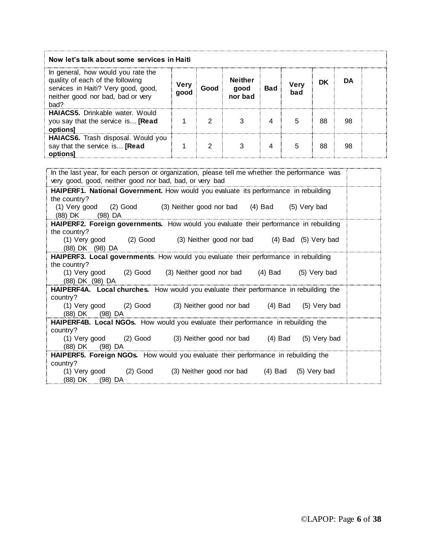| Now let's talk about some services in Haiti                                                                                                                |                     |      |                                   |            |             |    |    |  |
|------------------------------------------------------------------------------------------------------------------------------------------------------------|---------------------|------|-----------------------------------|------------|-------------|----|----|--|
| In general, how would you rate the<br>quality of each of the following<br>services in Haiti? Very good, good,<br>neither good nor bad, bad or very<br>bad? | <b>Very</b><br>aood | Good | <b>Neither</b><br>good<br>nor bad | <b>Bad</b> | verv<br>bad | DK | DA |  |
| <b>HAIACS5.</b> Drinkable water. Would<br>you say that the service is [Read<br>options]                                                                    |                     | ◠    |                                   |            |             | 88 | 98 |  |
| <b>HAIACS6.</b> Trash disposal. Would you<br>say that the service is [Read<br>options                                                                      |                     | ⌒    |                                   |            |             | 88 | 98 |  |

| In the last year, for each person or organization, please tell me whether the performance was            |  |  |  |  |  |  |  |
|----------------------------------------------------------------------------------------------------------|--|--|--|--|--|--|--|
| very good, good, neither good nor bad, bad, or very bad                                                  |  |  |  |  |  |  |  |
| HAIPERF1. National Government. How would you evaluate its performance in rebuilding                      |  |  |  |  |  |  |  |
| the country?                                                                                             |  |  |  |  |  |  |  |
| (1) Very good (2) Good (3) Neither good nor bad (4) Bad (5) Very bad                                     |  |  |  |  |  |  |  |
| (88) DK (98) DA                                                                                          |  |  |  |  |  |  |  |
| HAIPERF2. Foreign governments. How would you evaluate their performance in rebuilding                    |  |  |  |  |  |  |  |
| the country?                                                                                             |  |  |  |  |  |  |  |
| (1) Very good (2) Good (3) Neither good nor bad (4) Bad (5) Very bad                                     |  |  |  |  |  |  |  |
| (88) DK (98) DA                                                                                          |  |  |  |  |  |  |  |
| HAIPERF3. Local governments. How would you evaluate their performance in rebuilding                      |  |  |  |  |  |  |  |
| the country?                                                                                             |  |  |  |  |  |  |  |
| (1) Very good (2) Good (3) Neither good nor bad (4) Bad<br>(5) Very bad                                  |  |  |  |  |  |  |  |
| (88) DK (98) DA<br>HAIPERF4A. Local churches. How would you evaluate their performance in rebuilding the |  |  |  |  |  |  |  |
| country?                                                                                                 |  |  |  |  |  |  |  |
| (1) Very good (2) Good (3) Neither good nor bad (4) Bad (5) Very bad                                     |  |  |  |  |  |  |  |
| (88) DK (98) DA                                                                                          |  |  |  |  |  |  |  |
| <b>HAIPERF4B. Local NGOs.</b> How would you evaluate their performance in rebuilding the                 |  |  |  |  |  |  |  |
| country?                                                                                                 |  |  |  |  |  |  |  |
| (1) Very good (2) Good (3) Neither good nor bad (4) Bad (5) Very bad                                     |  |  |  |  |  |  |  |
| (88) DK (98) DA                                                                                          |  |  |  |  |  |  |  |
| <b>HAIPERF5.</b> Foreign NGOs. How would you evaluate their performance in rebuilding the                |  |  |  |  |  |  |  |
| country?                                                                                                 |  |  |  |  |  |  |  |
| (3) Neither good nor bad (4) Bad<br>$(1)$ Very good $(2)$ Good<br>(5) Very bad                           |  |  |  |  |  |  |  |
| (88) DK (98) DA                                                                                          |  |  |  |  |  |  |  |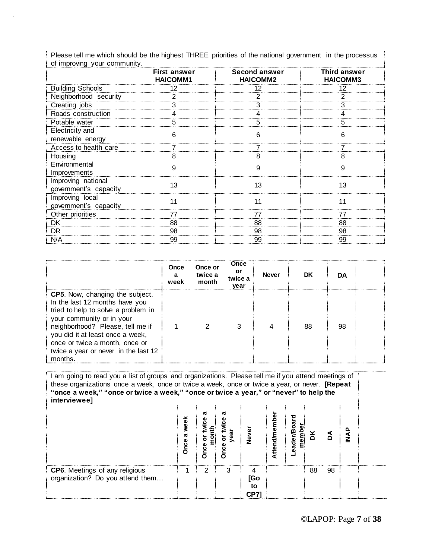| Please tell me which should be the highest THREE priorities of the national government in the processus |  |
|---------------------------------------------------------------------------------------------------------|--|
|                                                                                                         |  |
| of improving your communit.                                                                             |  |
|                                                                                                         |  |

|                                             | First answer<br><b>HAICOMM1</b> | <b>Second answer</b><br><b>HAICOMM2</b> | Third answer<br><b>HAICOMM3</b> |
|---------------------------------------------|---------------------------------|-----------------------------------------|---------------------------------|
| <b>Building Schools</b>                     |                                 |                                         |                                 |
| Neighborhood security                       |                                 |                                         |                                 |
| Creating jobs                               |                                 |                                         |                                 |
| Roads construction                          |                                 |                                         |                                 |
| Potable water                               |                                 |                                         |                                 |
| <b>Electricity</b> and<br>renewable energy  | 6                               |                                         |                                 |
| Access to health care                       |                                 |                                         |                                 |
| Housing                                     | 8                               |                                         | 8                               |
| Environmental<br><i>Improvements</i>        |                                 |                                         | 9                               |
| Improving national<br>government's capacity | 13                              | 13                                      | 13                              |
| Improving local<br>government's capacity    |                                 |                                         |                                 |
| Other priorities                            |                                 |                                         |                                 |
| <b>DK</b>                                   | 88                              | 88                                      | 88                              |
| DR                                          | 98                              | 98                                      | 98                              |
| N/A                                         | 99                              | 99                                      | 99                              |

|                                                                                                                                                                                                                                                                                                          | Once<br>а<br>week | Once or<br>twice a<br>month | Once<br>or<br>twice a<br>year | <b>Never</b> | DK | DA |  |
|----------------------------------------------------------------------------------------------------------------------------------------------------------------------------------------------------------------------------------------------------------------------------------------------------------|-------------------|-----------------------------|-------------------------------|--------------|----|----|--|
| <b>CP5.</b> Now, changing the subject.<br>In the last 12 months have you<br>tried to help to solve a problem in<br>your community or in your<br>neighborhood? Please, tell me if<br>you did it at least once a week,<br>once or twice a month, once or<br>twice a year or never in the last 12<br>months |                   |                             |                               |              | 88 | 98 |  |

| I am going to read you a list of groups and organizations. Please tell me if you attend meetings of<br>these organizations once a week, once or twice a week, once or twice a year, or never. [Repeat<br>"once a week," "once or twice a week," "once or twice a year," or "never" to help the<br>interviewee] |  |  |   |           |  |      |    |    |  |  |
|----------------------------------------------------------------------------------------------------------------------------------------------------------------------------------------------------------------------------------------------------------------------------------------------------------------|--|--|---|-----------|--|------|----|----|--|--|
|                                                                                                                                                                                                                                                                                                                |  |  |   |           |  | ader |    |    |  |  |
| <b>CP6.</b> Meetings of any religious<br>organization? Do you attend them                                                                                                                                                                                                                                      |  |  | з | lGo<br>t٥ |  |      | 88 | 98 |  |  |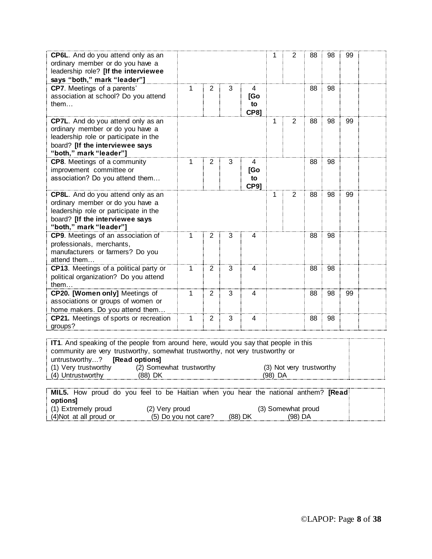| CP6L. And do you attend only as an<br>ordinary member or do you have a<br>leadership role? [If the interviewee<br>says "both," mark "leader"]                                                                                                                                                                                       |              |                |                |                               | 1 | 2 | 88 | 98 | 99 |  |
|-------------------------------------------------------------------------------------------------------------------------------------------------------------------------------------------------------------------------------------------------------------------------------------------------------------------------------------|--------------|----------------|----------------|-------------------------------|---|---|----|----|----|--|
| CP7. Meetings of a parents'<br>association at school? Do you attend<br>them                                                                                                                                                                                                                                                         | $\mathbf 1$  | $\overline{2}$ | 3              | 4<br>[Go<br>to<br><b>CP81</b> |   |   | 88 | 98 |    |  |
| CP7L. And do you attend only as an<br>ordinary member or do you have a<br>leadership role or participate in the<br>board? [If the interviewee says<br>"both," mark "leader"]                                                                                                                                                        |              |                |                |                               | 1 | 2 | 88 | 98 | 99 |  |
| CP8. Meetings of a community<br>improvement committee or<br>association? Do you attend them                                                                                                                                                                                                                                         | 1            | $\overline{2}$ | 3              | 4<br>[Go<br>to<br><b>CP9]</b> |   |   | 88 | 98 |    |  |
| CP8L. And do you attend only as an<br>ordinary member or do you have a<br>leadership role or participate in the<br>board? [If the interviewee says<br>"both," mark "leader"]                                                                                                                                                        |              |                |                |                               | 1 | 2 | 88 | 98 | 99 |  |
| CP9. Meetings of an association of<br>professionals, merchants,<br>manufacturers or farmers? Do you<br>attend them                                                                                                                                                                                                                  | 1            | 2              | 3              | 4                             |   |   | 88 | 98 |    |  |
| CP13. Meetings of a political party or<br>political organization? Do you attend<br>them                                                                                                                                                                                                                                             | $\mathbf{1}$ | $\overline{2}$ | $\overline{3}$ | 4                             |   |   | 88 | 98 |    |  |
| CP20. [Women only] Meetings of<br>associations or groups of women or<br>home makers. Do you attend them                                                                                                                                                                                                                             | $\mathbf{1}$ | $\overline{2}$ | 3              | 4                             |   |   | 88 | 98 | 99 |  |
| CP21. Meetings of sports or recreation<br>groups?                                                                                                                                                                                                                                                                                   | 1            | $\overline{2}$ | 3              | 4                             |   |   | 88 | 98 |    |  |
| IT1. And speaking of the people from around here, would you say that people in this<br>community are very trustworthy, somewhat trustworthy, not very trustworthy or<br>untrustworthy?<br>[Read options]<br>(1) Very trustworthy<br>(2) Somewhat trustworthy<br>(3) Not very trustworthy<br>(4) Untrustworthy<br>(98) DA<br>(88) DK |              |                |                |                               |   |   |    |    |    |  |
|                                                                                                                                                                                                                                                                                                                                     |              |                |                |                               |   |   |    |    |    |  |

|                         |                      | MIL5. How proud do you feel to be Haitian when you hear the national anthem? [Read] |  |
|-------------------------|----------------------|-------------------------------------------------------------------------------------|--|
| optionsl:               |                      |                                                                                     |  |
| (1) Extremely proud     | (2) Verv proud       | (3) Somewhat proud                                                                  |  |
| (4) Not at all proud or | (5) Do you not care? | (88) DK<br>(98) DA                                                                  |  |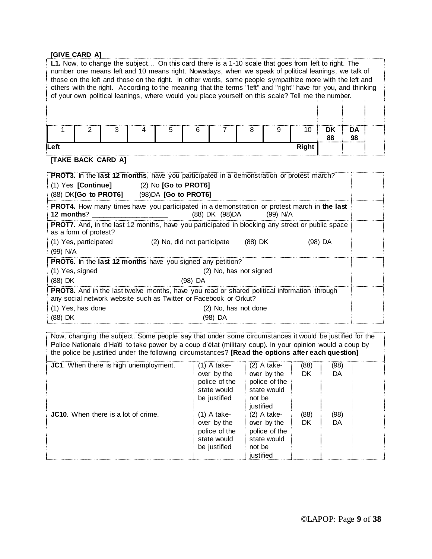#### **[GIVE CARD A]**

|      | L1. Now, to change the subject On this card there is a 1-10 scale that goes from left to right. The<br>number one means left and 10 means right. Nowadays, when we speak of political leanings, we talk of<br>those on the left and those on the right. In other words, some people sympathize more with the left and<br>others with the right. According to the meaning that the terms "left" and "right" have for you, and thinking<br>of your own political leanings, where would you place yourself on this scale? Tell me the number. |   |  |   |    |  |   |   |       |          |          |  |
|------|--------------------------------------------------------------------------------------------------------------------------------------------------------------------------------------------------------------------------------------------------------------------------------------------------------------------------------------------------------------------------------------------------------------------------------------------------------------------------------------------------------------------------------------------|---|--|---|----|--|---|---|-------|----------|----------|--|
|      |                                                                                                                                                                                                                                                                                                                                                                                                                                                                                                                                            |   |  |   |    |  |   |   |       |          |          |  |
|      | ר                                                                                                                                                                                                                                                                                                                                                                                                                                                                                                                                          | ঽ |  | 5 | ิค |  | 8 | a | 10    | DK<br>88 | DA<br>98 |  |
| Left |                                                                                                                                                                                                                                                                                                                                                                                                                                                                                                                                            |   |  |   |    |  |   |   | Right |          |          |  |

## **[TAKE BACK CARD A]**

|                                             | <b>PROT3.</b> In the <b>last 12 months</b> , have you participated in a demonstration or protest march?                                                                |  |
|---------------------------------------------|------------------------------------------------------------------------------------------------------------------------------------------------------------------------|--|
| $(1)$ Yes [Continue] $(2)$ No [Go to PROT6] |                                                                                                                                                                        |  |
| (88) DK[Go to PROT6] (98)DA [Go to PROT6]   |                                                                                                                                                                        |  |
| 12 months?                                  | <b>PROT4.</b> How many times have you participated in a demonstration or protest march in the last<br>(88) DK (98) DA (99) N/A                                         |  |
| as a form of protest?                       | <b>PROT7.</b> And, in the last 12 months, have you participated in blocking any street or public space                                                                 |  |
| (1) Yes, participated                       | $(2)$ No, did not participate $(88)$ DK<br>(98) DA                                                                                                                     |  |
| $(99)$ N/A                                  |                                                                                                                                                                        |  |
|                                             | <b>PROT6.</b> In the <b>last 12 months</b> have you signed any petition?                                                                                               |  |
| (1) Yes, signed                             | (2) No, has not signed                                                                                                                                                 |  |
| $(88)$ DK                                   | $(98)$ DA                                                                                                                                                              |  |
|                                             | <b>PROT8.</b> And in the last twelve months, have you read or shared political information through<br>any social network website such as Twitter or Facebook or Orkut? |  |
| (1) Yes, has done                           | (2) No, has not done                                                                                                                                                   |  |
| (88) DK                                     | (98) DA                                                                                                                                                                |  |

Now, changing the subject. Some people say that under some circumstances it would be justified for the Police Nationale d'Haïti to take power by a coup d'état (military coup). In your opinion would a coup by the police be justified under the following circumstances? **[Read the options after each question]**

| JC1. When there is high unemployment.      | $(1)$ A take-<br>over by the<br>police of the<br>state would<br>be justified | $(2)$ A take-<br>over by the<br>police of the<br>state would<br>not be<br>iustified | (88)<br>DK | (98)<br>DA |  |
|--------------------------------------------|------------------------------------------------------------------------------|-------------------------------------------------------------------------------------|------------|------------|--|
| <b>JC10.</b> When there is a lot of crime. | (1) A take-<br>over by the<br>police of the<br>state would<br>be justified   | $(2)$ A take-<br>over by the<br>police of the<br>state would<br>not be<br>iustified | (88)<br>DK | (98)<br>DA |  |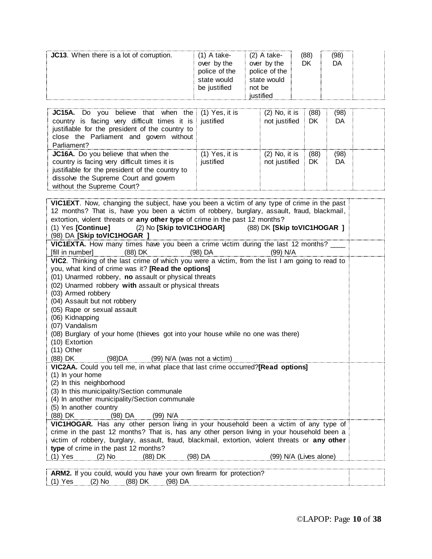| <br>'98'<br><b>JC13.</b> When there is a lot of corruption.<br>(2) A take-<br>(88<br>A take-<br>Dk<br>over by the<br>over by the<br>DΑ<br>police of the<br>police of the<br>state would<br>state would<br>be justified<br>not be<br>ustified |  |
|----------------------------------------------------------------------------------------------------------------------------------------------------------------------------------------------------------------------------------------------|--|
|----------------------------------------------------------------------------------------------------------------------------------------------------------------------------------------------------------------------------------------------|--|

| <b>JC15A.</b> Do you believe that when the (1) Yes, it is<br>country is facing very difficult times it is justified<br>justifiable for the president of the country to<br>close the Parliament and govern without<br>Parliament? |                             | $(2)$ No, it is<br>not justified | (88)<br>DK | (98)<br>DA |  |
|----------------------------------------------------------------------------------------------------------------------------------------------------------------------------------------------------------------------------------|-----------------------------|----------------------------------|------------|------------|--|
| <b>JC16A.</b> Do you believe that when the<br>country is facing very difficult times it is<br>justifiable for the president of the country to<br>dissolve the Supreme Court and govern<br>without the Supreme Court?             | (1) Yes, it is<br>justified | $(2)$ No, it is<br>not justified | (88)<br>DK | (98)<br>DA |  |

| VIC1EXT. Now, changing the subject, have you been a victim of any type of crime in the past                  |  |
|--------------------------------------------------------------------------------------------------------------|--|
| 12 months? That is, have you been a victim of robbery, burglary, assault, fraud, blackmail,                  |  |
| extortion, violent threats or any other type of crime in the past 12 months?                                 |  |
| (2) No [Skip to VIC1HOGAR] (88) DK [Skip to VIC1HOGAR ]<br>(1) Yes [Continue]<br>(98) DA [Skip toVIC1HOGAR ] |  |
| VIC1EXTA. How many times have you been a crime victim during the last 12 months?                             |  |
| (88) DK<br>(98) DA<br>[fill in number]<br>$(99)$ N/A                                                         |  |
| VIC2. Thinking of the last crime of which you were a victim, from the list I am going to read to             |  |
| you, what kind of crime was it? [Read the options]                                                           |  |
| (01) Unarmed robbery, no assault or physical threats                                                         |  |
| (02) Unarmed robbery with assault or physical threats                                                        |  |
| (03) Armed robbery                                                                                           |  |
| (04) Assault but not robbery                                                                                 |  |
| (05) Rape or sexual assault                                                                                  |  |
| (06) Kidnapping                                                                                              |  |
| (07) Vandalism                                                                                               |  |
| (08) Burglary of your home (thieves got into your house while no one was there)                              |  |
| (10) Extortion                                                                                               |  |
| $(11)$ Other                                                                                                 |  |
| (88) DK<br>(98)DA<br>(99) N/A (was not a victim)                                                             |  |
| VIC2AA. Could you tell me, in what place that last crime occurred?[Read options]<br>(1) In your home         |  |
| (2) In this neighborhood                                                                                     |  |
| (3) In this municipality/Section communale                                                                   |  |
| (4) In another municipality/Section communale                                                                |  |
| (5) In another country                                                                                       |  |
| (88) DK<br>(98) DA<br>(99) N/A                                                                               |  |
| VIC1HOGAR. Has any other person living in your household been a victim of any type of                        |  |
| crime in the past 12 months? That is, has any other person living in your household been a                   |  |
| victim of robbery, burglary, assault, fraud, blackmail, extortion, violent threats or any other              |  |
| type of crime in the past 12 months?                                                                         |  |
| $(1)$ Yes $(2)$ No<br>(88) DK (98) DA<br>(99) N/A (Lives alone)                                              |  |
|                                                                                                              |  |
| ARM2. If you could, would you have your own firearm for protection?                                          |  |

(1) Yes (2) No (88) DK (98) DA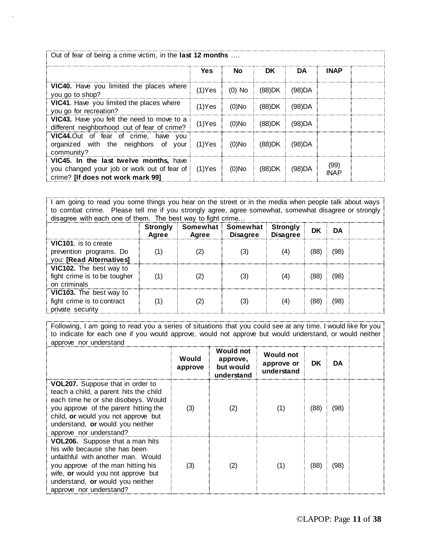| Out of fear of being a crime victim, in the <b>last 12 months</b>                                                                      |           |           |                 |        |                     |  |  |
|----------------------------------------------------------------------------------------------------------------------------------------|-----------|-----------|-----------------|--------|---------------------|--|--|
|                                                                                                                                        | Yes       | <b>No</b> | DK.             | DA     | <b>INAP</b>         |  |  |
| <b>VIC40.</b> Have you limited the places where<br>you go to shop?                                                                     | $(1)$ Yes |           | (0) No : (88)DK | (98)DA |                     |  |  |
| VIC41. Have you limited the places where<br>you go for recreation?                                                                     | $(1)$ Yes | $(0)$ No  | (88)DK          | (98)DA |                     |  |  |
| VIC43. Have you felt the need to move to a<br>different neighborhood out of fear of crime?                                             | $(1)$ Yes | $(0)$ No  | (88)DK          | (98)DA |                     |  |  |
| VIC44.Out of fear of crime, have you<br>organized with the neighbors of your<br>community?                                             | $(1)$ Yes | $(0)$ No  | (88)DK          | (98)DA |                     |  |  |
| VIC45. In the last twelve months, have<br>you changed your job or work out of fear of [1] (1) Yes<br>crime? Ilf does not work mark 991 |           | $(0)$ No  | (88)DK          | (98)DA | (99)<br><b>INAP</b> |  |  |

I am going to read you some things you hear on the street or in the media when people talk about ways to combat crime. Please tell me if you strongly agree, agree somewhat, somewhat disagree or strongly disagree with each one of them. The best way to fight crime...

|                                                                                    | Strongly<br>Agree | Agree | Somewhat Somewhat<br><b>Disagree</b> | <b>Strongly</b><br><b>Disagree</b> | DK   | DА   |  |
|------------------------------------------------------------------------------------|-------------------|-------|--------------------------------------|------------------------------------|------|------|--|
| <b>VIC101.</b> is to create<br>prevention programs. Do<br>you: [Read Alternatives] |                   |       |                                      |                                    | (88  | (98) |  |
| VIC102. The best way to<br>fight crime is to be tougher<br>on criminals            |                   |       |                                      | (4)                                | (88) | (98) |  |
| VIC103. The best way to<br>fight crime is to contract<br>private security          |                   |       |                                      | (4)                                | (88) | (98) |  |

Following, I am going to read you a series of situations that you could see at any time. I would like for you to indicate for each one if you would approve, would not approve but would understand, or would neither approve nor understand

|                                                                                                                                                                                                                                                                         | Would<br>approve | Would not<br>approve,<br>but would<br>understand | <b>Would not</b><br>approve or<br>understand | <b>DK</b> | DA   |  |
|-------------------------------------------------------------------------------------------------------------------------------------------------------------------------------------------------------------------------------------------------------------------------|------------------|--------------------------------------------------|----------------------------------------------|-----------|------|--|
| <b>VOL207.</b> Suppose that in order to<br>teach a child, a parent hits the child<br>each time he or she disobeys. Would<br>you approve of the parent hitting the<br>child, or would you not approve but<br>understand, or would you neither<br>approve nor understand? | (3)              |                                                  | (1)                                          | (88)      | (98) |  |
| VOL206. Suppose that a man hits<br>his wife because she has been<br>unfaithful with another man. Would<br>you approve of the man hitting his<br>wife, or would you not approve but<br>understand, or would you neither<br>approve nor understand?                       | (3)              | (2)                                              | (1)                                          | (88)      | (98) |  |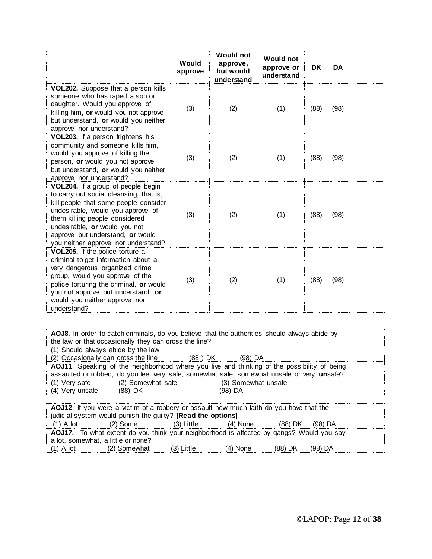|                                                                                                                                                                                                                                                                                                           | Would<br>approve | <b>Would not</b><br>approve,<br>but would<br>understand | <b>Would not</b><br>approve or<br>understand | DK   | <b>DA</b> |  |
|-----------------------------------------------------------------------------------------------------------------------------------------------------------------------------------------------------------------------------------------------------------------------------------------------------------|------------------|---------------------------------------------------------|----------------------------------------------|------|-----------|--|
| VOL202. Suppose that a person kills<br>someone who has raped a son or<br>daughter. Would you approve of<br>killing him, or would you not approve<br>but understand, or would you neither<br>approve nor understand?                                                                                       | (3)              | (2)                                                     | (1)                                          | (88) | (98)      |  |
| VOL203. If a person frightens his<br>community and someone kills him,<br>would you approve of killing the<br>person, or would you not approve<br>but understand, or would you neither<br>approve nor understand?                                                                                          | (3)              | (2)                                                     | (1)                                          | (88) | (98)      |  |
| VOL204. If a group of people begin<br>to carry out social cleansing, that is,<br>kill people that some people consider<br>undesirable, would you approve of<br>them killing people considered<br>undesirable, or would you not<br>approve but understand, or would<br>you neither approve nor understand? | (3)              | (2)                                                     | (1)                                          | (88) | (98)      |  |
| VOL205. If the police torture a<br>criminal to get information about a<br>very dangerous organized crime<br>group, would you approve of the<br>police torturing the criminal, or would<br>you not approve but understand, or<br>would you neither approve nor<br>understand?                              | (3)              | (2)                                                     | (1)                                          | (88) | (98)      |  |

**AOJ8**. In order to catch criminals, do you believe that the authorities should always abide by the law or that occasionally they can cross the line? (1) Should always abide by the law (2) Occasionally can cross the line (88 ) DK (98) DA **AOJ11**. Speaking of the neighborhood where you live and thinking of the possibility of being assaulted or robbed, do you feel very safe, somewhat safe, somewhat unsafe or very **un**safe? (1) Very safe (2) Somewhat safe (3) Somewhat unsafe (4) Very unsafe (88) DK (98) DA (88) DK (98) DA

|                                                             | AOJ12. If you were a victim of a robbery or assault how much faith do you have that the  |              |            |           |           |  |
|-------------------------------------------------------------|------------------------------------------------------------------------------------------|--------------|------------|-----------|-----------|--|
| judicial system would punish the guilty? [Read the options] |                                                                                          |              |            |           |           |  |
| $(1)$ A lot                                                 | (2) Some                                                                                 | $(3)$ Little | $(4)$ None | $(88)$ DK | $(98)$ DA |  |
|                                                             | AOJ17. To what extent do you think your neighborhood is affected by gangs? Would you say |              |            |           |           |  |
|                                                             | a lot, somewhat, a little or none?                                                       |              |            |           |           |  |
| $(1)$ A lot                                                 | (2) Somewhat                                                                             | $(3)$ Little | $(4)$ None | $(88)$ DK | $(98)$ DA |  |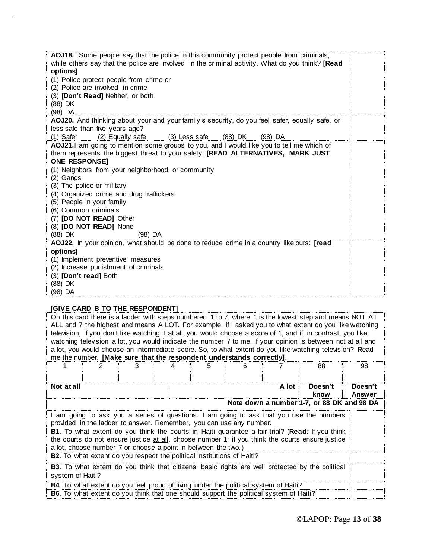| AOJ18. Some people say that the police in this community protect people from criminals,<br>while others say that the police are involved in the criminal activity. What do you think? [Read<br>options]<br>(1) Police protect people from crime or<br>(2) Police are involved in crime<br>(3) [Don't Read] Neither, or both<br>(88) DK<br>(98) DA                                                                                                                                  |  |
|------------------------------------------------------------------------------------------------------------------------------------------------------------------------------------------------------------------------------------------------------------------------------------------------------------------------------------------------------------------------------------------------------------------------------------------------------------------------------------|--|
| AOJ20. And thinking about your and your family's security, do you feel safer, equally safe, or<br>less safe than five years ago?                                                                                                                                                                                                                                                                                                                                                   |  |
| (1) Safer (2) Equally safe (3) Less safe (88) DK (98) DA                                                                                                                                                                                                                                                                                                                                                                                                                           |  |
| AOJ21.1 am going to mention some groups to you, and I would like you to tell me which of<br>them represents the biggest threat to your safety: [READ ALTERNATIVES, MARK JUST<br><b>ONE RESPONSET</b><br>(1) Neighbors from your neighborhood or community<br>(2) Gangs<br>(3) The police or military<br>(4) Organized crime and drug traffickers<br>(5) People in your family<br>(6) Common criminals<br>(7) [DO NOT READ] Other<br>(8) [DO NOT READ] None<br>(88) DK<br>$(98)$ DA |  |
| AOJ22. In your opinion, what should be done to reduce crime in a country like ours: [read<br>options]<br>(1) Implement preventive measures<br>(2) Increase punishment of criminals<br>(3) [Don't read] Both<br>(88) DK<br>(98) DA                                                                                                                                                                                                                                                  |  |

### **[GIVE CARD B TO THE RESPONDENT]**

| On this card there is a ladder with steps numbered 1 to 7, where 1 is the lowest step and means NOT AT<br>ALL and 7 the highest and means A LOT. For example, if I asked you to what extent do you like watching<br>television, if you don't like watching it at all, you would choose a score of 1, and if, in contrast, you like<br>watching television a lot, you would indicate the number 7 to me. If your opinion is between not at all and<br>a lot, you would choose an intermediate score. So, to what extent do you like watching television? Read<br>me the number. [Make sure that the respondent understands correctly]. |   |  |   |  |         |                                            |                   |
|---------------------------------------------------------------------------------------------------------------------------------------------------------------------------------------------------------------------------------------------------------------------------------------------------------------------------------------------------------------------------------------------------------------------------------------------------------------------------------------------------------------------------------------------------------------------------------------------------------------------------------------|---|--|---|--|---------|--------------------------------------------|-------------------|
|                                                                                                                                                                                                                                                                                                                                                                                                                                                                                                                                                                                                                                       | 3 |  | 5 |  |         | 88                                         | 98                |
| Not at all                                                                                                                                                                                                                                                                                                                                                                                                                                                                                                                                                                                                                            |   |  |   |  | A lot i | Doesn't<br>know                            | Doesn't<br>Answer |
|                                                                                                                                                                                                                                                                                                                                                                                                                                                                                                                                                                                                                                       |   |  |   |  |         | Note down a number 1-7, or 88 DK and 98 DA |                   |
| I am going to ask you a series of questions. I am going to ask that you use the numbers<br>provided in the ladder to answer. Remember, you can use any number.<br>B1. To what extent do you think the courts in Haiti guarantee a fair trial? (Read: If you think<br>the courts do not ensure justice at all, choose number 1; if you think the courts ensure justice<br>a lot, choose number 7 or choose a point in between the two.)                                                                                                                                                                                                |   |  |   |  |         |                                            |                   |
| B2. To what extent do you respect the political institutions of Haiti?                                                                                                                                                                                                                                                                                                                                                                                                                                                                                                                                                                |   |  |   |  |         |                                            |                   |
| B3. To what extent do you think that citizens' basic rights are well protected by the political<br>system of Haiti?                                                                                                                                                                                                                                                                                                                                                                                                                                                                                                                   |   |  |   |  |         |                                            |                   |
| B4. To what extent do you feel proud of living under the political system of Haiti?                                                                                                                                                                                                                                                                                                                                                                                                                                                                                                                                                   |   |  |   |  |         |                                            |                   |
| <b>B6.</b> To what extent do you think that one should support the political system of Haiti?                                                                                                                                                                                                                                                                                                                                                                                                                                                                                                                                         |   |  |   |  |         |                                            |                   |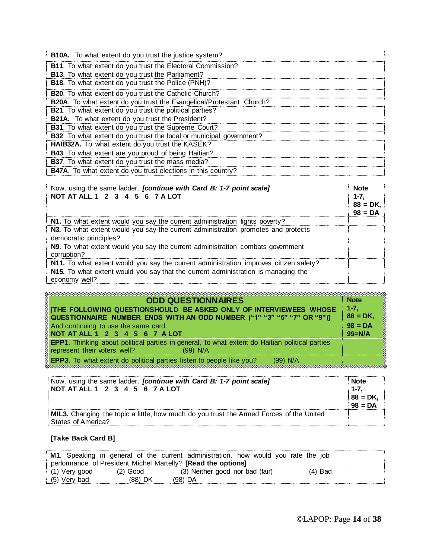| <b>B10A.</b> To what extent do you trust the justice system?         |  |
|----------------------------------------------------------------------|--|
| B11. To what extent do you trust the Electoral Commission?           |  |
| B13. To what extent do you trust the Parliament?                     |  |
| B18. To what extent do you trust the Police (PNH)?                   |  |
| B20. To what extent do you trust the Catholic Church?                |  |
| B20A. To what extent do you trust the Evangelical/Protestant Church? |  |
| B21. To what extent do you trust the political parties?              |  |
| <b>B21A.</b> To what extent do you trust the President?              |  |
| B31. To what extent do you trust the Supreme Court?                  |  |
| B32. To what extent do you trust the local or municipal government?  |  |
| HAIB32A. To what extent do you trust the KASEK?                      |  |
| <b>B43</b> . To what extent are you proud of being Haitian?          |  |
| B37. To what extent do you trust the mass media?                     |  |
| B47A. To what extent do you trust elections in this country?         |  |

| Now, using the same ladder, <i>[continue with Card B: 1-7 point scale]</i><br>NOT AT ALL 1 2 3 4 5 6 7 A LOT | <b>Note</b><br>1-7.<br>$88 = DK,$ |
|--------------------------------------------------------------------------------------------------------------|-----------------------------------|
| N1. To what extent would you say the current administration fights poverty?                                  |                                   |
| N3. To what extent would you say the current administration promotes and protects<br>democratic principles?  |                                   |
| N9. To what extent would you say the current administration combats government<br>corruption?                |                                   |
| N11. To what extent would you say the current administration improves citizen safety?                        |                                   |
| N15. To what extent would you say that the current administration is managing the<br>economy well?           |                                   |

| <b>ODD QUESTIONNAIRES</b><br>$\%$ [THE FOLLOWING QUESTIONSHOULD BE ASKED ONLY OF INTERVIEWEES WHOSE<br>$\%$ QUESTIONNAIRE  NUMBER  ENDS  WITH AN ODD NUMBER  ("1" "3" "5" "7" OR "9")]<br>And continuing to use the same card,<br>NOT AT ALL 1 2 3 4 5 6 7 A LOT | <b>Note</b><br>$1 - 7.$<br>$88 = DK,$<br>$98 = DA$<br>$99 = N/A$ |
|------------------------------------------------------------------------------------------------------------------------------------------------------------------------------------------------------------------------------------------------------------------|------------------------------------------------------------------|
| <b>EPP1</b> . Thinking about political parties in general, to what extent do Haitian political parties<br>represent their voters well?<br>$(99)$ N/A                                                                                                             |                                                                  |
| <b>EPP3.</b> To what extent do political parties listen to people like you?<br>(99) N/A                                                                                                                                                                          |                                                                  |

| Now, using the same ladder, <i>[continue with Card B: 1-7 point scale]</i>              | Note       |
|-----------------------------------------------------------------------------------------|------------|
| NOT AT ALL 1 2 3 4 5 6 7 A LOT                                                          | $1 - 7$    |
|                                                                                         | $88 = DK.$ |
|                                                                                         | $98 = DA$  |
| MIL3. Changing the topic a little, how much do you trust the Armed Forces of the United |            |
| <b>States of America?</b>                                                               |            |

## **[Take Back Card B]**

|                 |            | <b>M1.</b> Speaking in general of the current administration, how would you rate the job |           |  |
|-----------------|------------|------------------------------------------------------------------------------------------|-----------|--|
|                 |            | performance of President Michel Martelly? <b>[Read the options]</b>                      |           |  |
| $(1)$ Very good | $(2)$ Good | (3) Neither good nor bad (fair)                                                          | $(4)$ Bad |  |
| $(5)$ Very bad  | (88) DK    | (98) DA                                                                                  |           |  |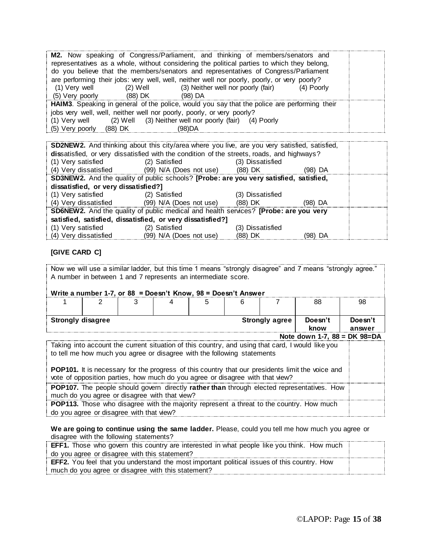**M2.** Now speaking of Congress/Parliament, and thinking of members/senators and representatives as a whole, without considering the political parties to which they belong, do you believe that the members/senators and representatives of Congress/Parliament are performing their jobs: very well, well, neither well nor poorly, poorly, or very poorly? (1) Very well (2) Well (3) Neither well nor poorly (fair) (4) Poorly (5) Very poorly (88) DK (98) DA **HAIM3**. Speaking in general of the police, would you say that the police are performing their jobs very well, well, neither well nor poorly, poorly, or very poorly? (1) Very well (2) Well (3) Neither well nor poorly (fair) (4) Poorly (5) Very poorly (88) DK (98)DA

| <b>SD2NEW2.</b> And thinking about this city/area where you live, are you very satisfied, satisfied, |                                                                                             |                  |         |  |  |  |
|------------------------------------------------------------------------------------------------------|---------------------------------------------------------------------------------------------|------------------|---------|--|--|--|
| dissatisfied, or very dissatisfied with the condition of the streets, roads, and highways?           |                                                                                             |                  |         |  |  |  |
| (1) Very satisfied                                                                                   | (2) Satisfied                                                                               | (3) Dissatisfied |         |  |  |  |
| (4) Very dissatisfied                                                                                | (99) N/A (Does not use) (88) DK                                                             |                  | (98) DA |  |  |  |
| SD3NEW2. And the quality of public schools? [Probe: are you very satisfied, satisfied,               |                                                                                             |                  |         |  |  |  |
| dissatisfied, or very dissatisfied?]                                                                 |                                                                                             |                  |         |  |  |  |
| (1) Very satisfied                                                                                   | (2) Satisfied                                                                               | (3) Dissatisfied |         |  |  |  |
| (4) Very dissatisfied                                                                                | (99) N/A (Does not use)                                                                     | (88) DK          | (98) DA |  |  |  |
|                                                                                                      | <b>SD6NEW2.</b> And the quality of public medical and health services? [Probe: are you very |                  |         |  |  |  |
| satisfied, satisfied, dissatisfied, or very dissatisfied?]                                           |                                                                                             |                  |         |  |  |  |
| (1) Very satisfied                                                                                   | (2) Satisfied                                                                               | (3) Dissatisfied |         |  |  |  |
| (4) Very dissatisfied                                                                                | (99) N/A (Does not use)                                                                     | (88) DK          | (98) DA |  |  |  |

### **[GIVE CARD C]**

Now we will use a similar ladder, but this time 1 means "strongly disagree" and 7 means "strongly agree." A number in between 1 and 7 represents an intermediate score.

#### **Write a number 1-7, or 88 = Doesn't Know, 98 = Doesn't Answer**

|                                |  |  |  |  |  |                       | 88                                                                                               | 98                |
|--------------------------------|--|--|--|--|--|-----------------------|--------------------------------------------------------------------------------------------------|-------------------|
| <b>Strongly disagree</b>       |  |  |  |  |  | <b>Strongly agree</b> | Doesn't<br>know                                                                                  | Doesn't<br>answer |
| Note down 1-7, $88 = DK$ 98=DA |  |  |  |  |  |                       |                                                                                                  |                   |
|                                |  |  |  |  |  |                       | Taking into account the current situation of this country, and using that card, I would like you |                   |

to tell me how much you agree or disagree with the following statements

**POP101.** It is necessary for the progress of this country that our presidents limit the voice and vote of opposition parties, how much do you agree or disagree with that view?

**POP107.** The people should govern directly **rather than** through elected representatives. How much do you agree or disagree with that view?

**POP113.** Those who disagree with the majority represent a threat to the country. How much do you agree or disagree with that view?

**We are going to continue using the same ladder.** Please, could you tell me how much you agree or disagree with the following statements?

| <b>EFF1.</b> Those who govern this country are interested in what people like you think. How much  |  |
|----------------------------------------------------------------------------------------------------|--|
| do you agree or disagree with this statement?                                                      |  |
| <b>EFF2.</b> You feel that you understand the most important political issues of this country. How |  |
| much do you agree or disagree with this statement?                                                 |  |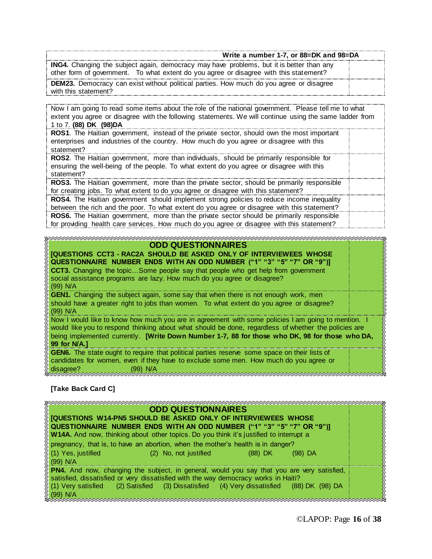| Write a number 1-7, or 88=DK and 98=DA                                                                                                                                                    |  |
|-------------------------------------------------------------------------------------------------------------------------------------------------------------------------------------------|--|
| <b>ING4.</b> Changing the subject again, democracy may have problems, but it is better than any<br>other form of government. To what extent do you agree or disagree with this statement? |  |
| <b>DEM23.</b> Democracy can exist without political parties. How much do you agree or disagree<br>with this statement?                                                                    |  |

Now I am going to read some items about the role of the national government. Please tell me to what extent you agree or disagree with the following statements. We will continue using the same ladder from 1 to 7. **(88) DK (98)DA**

**ROS1**. The Haitian government, instead of the private sector, should own the most important enterprises and industries of the country. How much do you agree or disagree with this statement?

**ROS2**. The Haitian government, more than individuals, should be primarily responsible for ensuring the well-being of the people. To what extent do you agree or disagree with this statement?

**ROS3.** The Haitian government, more than the private sector, should be primarily responsible for creating jobs. To what extent to do you agree or disagree with this statement? **ROS4.** The Haitian government should implement strong policies to reduce income inequality between the rich and the poor. To what extent do you agree or disagree with this statement? **ROS6.** The Haitian government, more than the private sector should be primarily responsible

for providing health care services. How much do you agree or disagree with this statement?

#### umaa kanaa maalaa maalaa maalaa maalaa maalaa ka **ODD QUESTIONNAIRES [QUESTIONS CCT3 - RAC2A SHOULD BE ASKED ONLY OF INTERVIEWEES WHOSE QUESTIONNAIRE NUMBER ENDS WITH AN ODD NUMBER ("1" "3" "5" "7" OR "9")] CCT3.** Changing the topic…Some people say that people who get help from government social assistance programs are lazy. How much do you agree or disagree? (99) N/A **GEN1.** Changing the subject again, some say that when there is not enough work, men should have a greater right to jobs than women. To what extent do you agree or disagree? (99) N/A Now I would like to know how much you are in agreement with some policies I am going to mention. would like you to respond thinking about what should be done, regardless of whether the policies are being implemented currently. **[Write Down Number 1-7, 88 for those who DK, 98 for those who DA, 99 for N/A.] GEN6.** The state ought to require that political parties reserve some space on their lists of candidates for women, even if they have to exclude some men. How much do you agree or disagree? (99) N/A

**[Take Back Card C]**

| <b>ODD QUESTIONNAIRES</b>                                                                         |  |
|---------------------------------------------------------------------------------------------------|--|
| <u>(IQUESTIONS W14-PN5 SHOULD BE ASKED ONLY OF INTERVIEWEES WHOSE</u>                             |  |
| , QUESTIONNAIRE  NUMBER  ENDS  WITH AN ODD NUMBER  ("1"  "3"  "5"  "7"  OR  "9")]                 |  |
| W14A. And now, thinking about other topics. Do you think it's justified to interrupt a            |  |
| pregnancy, that is, to have an abortion, when the mother's health is in danger?                   |  |
| § (1) Yes, justified ∴<br>(2) No, not justified<br>$(98)$ DA<br>$(88)$ DK                         |  |
| § (99) N/A                                                                                        |  |
| <b>PN4.</b> And now, changing the subject, in general, would you say that you are very satisfied, |  |
| satisfied, dissatisfied or very dissatisfied with the way democracy works in Haiti?               |  |
| (1) Very satisfied (2) Satisfied (3) Dissatisfied (4) Very dissatisfied (88) DK (98) DA           |  |
| (99) N/A                                                                                          |  |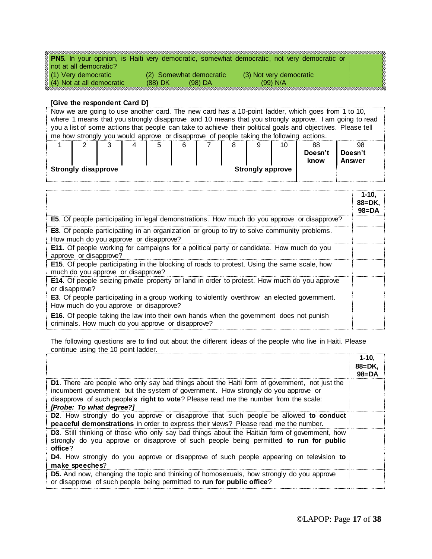| <b>PN5.</b> In your opinion, is Haiti very democratic, somewhat democratic, not very democratic or |  |
|----------------------------------------------------------------------------------------------------|--|
| not at all democratic?                                                                             |  |
| % (1) Very democratic<br>(3) Not very democratic<br>(2) Somewhat democratic                        |  |
| 4) Not at all democratic<br>(99) N/A<br>$(98)$ DA<br>$(88)$ DK                                     |  |
|                                                                                                    |  |

#### **[Give the respondent Card D]**

Now we are going to use another card. The new card has a 10-point ladder, which goes from 1 to 10, where 1 means that you strongly disapprove and 10 means that you strongly approve. I am going to read you a list of some actions that people can take to achieve their political goals and objectives. Please tell me how strongly you would approve or disapprove of people taking the following actions. 1 2 3 4 5 6 7 8 9 10 88 **Doesn't know** 98 **Doesn't Answer Strongly disapprove Strongly approve** 

|                                                                                                                                                    | $1 - 10$<br>88=DK.<br>$98 = DA$ |
|----------------------------------------------------------------------------------------------------------------------------------------------------|---------------------------------|
| <b>E5.</b> Of people participating in legal demonstrations. How much do you approve or disapprove?                                                 |                                 |
| <b>E8</b> . Of people participating in an organization or group to try to solve community problems.<br>How much do you approve or disapprove?      |                                 |
| E11. Of people working for campaigns for a political party or candidate. How much do you<br>approve or disapprove?                                 |                                 |
| <b>E15.</b> Of people participating in the blocking of roads to protest. Using the same scale, how<br>much do you approve or disapprove?           |                                 |
| E14. Of people seizing private property or land in order to protest. How much do you approve<br>or disapprove?                                     |                                 |
| <b>E3</b> . Of people participating in a group working to violently overthrow an elected government.<br>How much do you approve or disapprove?     |                                 |
| <b>E16.</b> Of people taking the law into their own hands when the government does not punish<br>criminals. How much do you approve or disapprove? |                                 |

The following questions are to find out about the different ideas of the people who live in Haiti. Please continue using the 10 point ladder.

|                                                                                                                                                                                                                                                                                                               | $1 - 10.$<br>$88 = DK.$<br>$98 = DA$ |
|---------------------------------------------------------------------------------------------------------------------------------------------------------------------------------------------------------------------------------------------------------------------------------------------------------------|--------------------------------------|
| <b>D1.</b> There are people who only say bad things about the Haiti form of government, not just the<br>incumbent government but the system of government. How strongly do you approve or<br>disapprove of such people's right to vote? Please read me the number from the scale:<br>[Probe: To what degree?] |                                      |
| <b>D2.</b> How strongly do you approve or disapprove that such people be allowed to conduct<br>peaceful demonstrations in order to express their views? Please read me the number.                                                                                                                            |                                      |
| D3. Still thinking of those who only say bad things about the Haitian form of government, how<br>strongly do you approve or disapprove of such people being permitted to run for public<br>office?                                                                                                            |                                      |
| <b>D4.</b> How strongly do you approve or disapprove of such people appearing on television to<br>make speeches?                                                                                                                                                                                              |                                      |
| <b>D5.</b> And now, changing the topic and thinking of homosexuals, how strongly do you approve<br>or disapprove of such people being permitted to run for public office?                                                                                                                                     |                                      |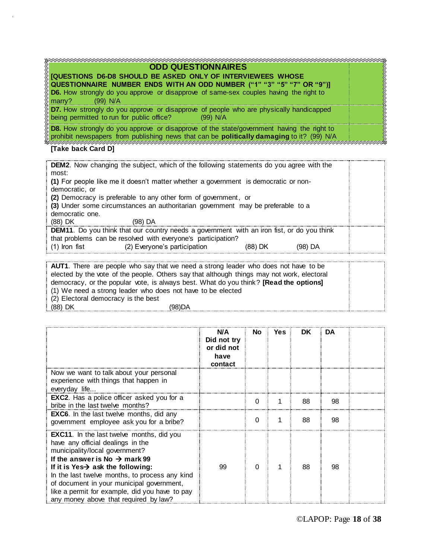| <b>ODD QUESTIONNAIRES</b>                                                                                                                                                                            |  |
|------------------------------------------------------------------------------------------------------------------------------------------------------------------------------------------------------|--|
| JQUESTIONS D6-D8 SHOULD BE ASKED ONLY OF INTERVIEWEES WHOSE<br>(QUESTIONNAIRE  NUMBER  ENDS  WITH AN ODD NUMBER  ("1"  "3"  "5"  "7"  OR  "9")]                                                      |  |
| D6. How strongly do you approve or disapprove of same-sex couples having the right to<br>$(99)$ N/A<br>$\frac{1}{2}$ marry?                                                                          |  |
| <b>D7.</b> How strongly do you approve or disapprove of people who are physically handicapped<br>being permitted to run for public office?<br>(99) N/A                                               |  |
| <b>D8.</b> How strongly do you approve or disapprove of the state/government having the right to<br>prohibit newspapers from publishing news that can be <b>politically damaging</b> to it? (99) N/A |  |

## **[Take back Card D]**

| <b>DEM2.</b> Now changing the subject, which of the following statements do you agree with the<br>most:                                                           |  |
|-------------------------------------------------------------------------------------------------------------------------------------------------------------------|--|
| (1) For people like me it doesn't matter whether a government is democratic or non-<br>democratic, or                                                             |  |
| (2) Democracy is preferable to any other form of government, or<br>(3) Under some circumstances an authoritarian government may be preferable to a                |  |
| democratic one.<br>(88) DK<br>(98) DA                                                                                                                             |  |
| <b>DEM11.</b> Do you think that our country needs a government with an iron fist, or do you think<br>that problems can be resolved with everyone's participation? |  |
| (2) Everyone's participation<br>$(1)$ Iron fist<br>(98) DA<br>(88) DK                                                                                             |  |

| <b>AUT1</b> . There are people who say that we need a strong leader who does not have to be |  |
|---------------------------------------------------------------------------------------------|--|
| elected by the vote of the people. Others say that although things may not work, electoral  |  |
| democracy, or the popular vote, is always best. What do you think? [Read the options]       |  |
| (1) We need a strong leader who does not have to be elected                                 |  |
| $(2)$ Electoral democracy is the best                                                       |  |
| $(88)$ DK<br>(98)DA                                                                         |  |

|                                                                                                                                                                                                                                                                                                                                                                                                                 | N/A<br>Did not try<br>or did not<br>have<br>contact | <b>No</b> | Yes: | <b>DK</b> | DA |  |
|-----------------------------------------------------------------------------------------------------------------------------------------------------------------------------------------------------------------------------------------------------------------------------------------------------------------------------------------------------------------------------------------------------------------|-----------------------------------------------------|-----------|------|-----------|----|--|
| Now we want to talk about your personal<br>experience with things that happen in<br>everyday life                                                                                                                                                                                                                                                                                                               |                                                     |           |      |           |    |  |
| <b>EXC2.</b> Has a police officer asked you for a<br>bribe in the last twelve months?                                                                                                                                                                                                                                                                                                                           |                                                     | 0         |      | 88        | 98 |  |
| <b>EXC6.</b> In the last twelve months, did any<br>government employee ask you for a bribe?                                                                                                                                                                                                                                                                                                                     |                                                     | 0         |      | 88        | 98 |  |
| <b>EXC11.</b> In the last twelve months, did you<br>have any official dealings in the<br>municipality/local government?<br>If the answer is No $\rightarrow$ mark 99<br>If it is Yes $\rightarrow$ ask the following:<br>In the last twelve months, to process any kind<br>of document in your municipal government,<br>like a permit for example, did you have to pay<br>any money above that required by law? | 99                                                  | 0         |      | 88        | 98 |  |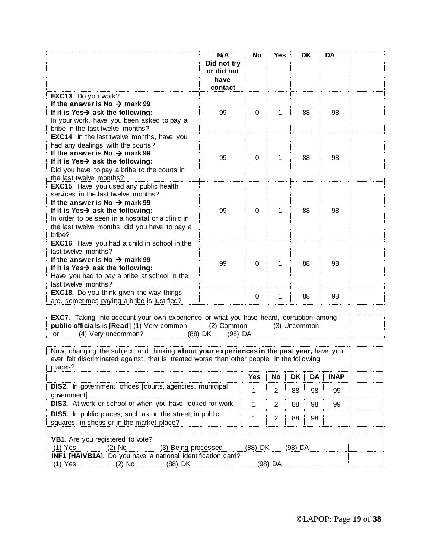|                                                                                                                                                                                                                                                                                                   | N/A<br>Did not try<br>or did not<br>have<br>contact | <b>No</b> | <b>Yes</b> | <b>DK</b> | DA |  |
|---------------------------------------------------------------------------------------------------------------------------------------------------------------------------------------------------------------------------------------------------------------------------------------------------|-----------------------------------------------------|-----------|------------|-----------|----|--|
| EXC13. Do you work?<br>If the answer is No $\rightarrow$ mark 99<br>If it is Yes-> ask the following:<br>In your work, have you been asked to pay a<br>bribe in the last twelve months?                                                                                                           | 99                                                  | $\Omega$  | 1          | 88        | 98 |  |
| <b>EXC14.</b> In the last twelve months, have you<br>had any dealings with the courts?<br>If the answer is No $\rightarrow$ mark 99<br>If it is Yes $\rightarrow$ ask the following:<br>Did you have to pay a bribe to the courts in<br>the last twelve months?                                   | 99                                                  | 0         | 1          | 88        | 98 |  |
| <b>EXC15.</b> Have you used any public health<br>services in the last twelve months?<br>If the answer is No $\rightarrow$ mark 99<br>If it is Yes $\rightarrow$ ask the following:<br>In order to be seen in a hospital or a clinic in<br>the last twelve months, did you have to pay a<br>bribe? | 99                                                  | $\Omega$  | 1          | 88        | 98 |  |
| <b>EXC16.</b> Have you had a child in school in the<br>last twelve months?<br>If the answer is No $\rightarrow$ mark 99<br>If it is Yes $\rightarrow$ ask the following:<br>Have you had to pay a bribe at school in the<br>last twelve months?                                                   | 99                                                  | $\Omega$  | 1          | 88        | 98 |  |
| <b>EXC18.</b> Do you think given the way things<br>are, sometimes paying a bribe is justified?                                                                                                                                                                                                    |                                                     | 0         | 1          | 88        | 98 |  |

**EXC7**. Taking into account your own experience or what you have heard, corruption among **public officials** is [Read] (1) Very common (2) Common (3) Uncommon **public officials** is **[Read]** (1) Very common (2) Common or (4) Very uncommon? (88) DK (98) DA

Now, changing the subject, and thinking **about your experiences in the past year,** have you ever felt discriminated against, that is, treated worse than other people, in the following places? **Yes No DK DA INAP DIS2.** In government offices [courts, agencies, municipal  $\begin{array}{|c|c|c|c|c|}\n\hline\n\text{goverment} & 2 & 88 & 98 & 99\n\end{array}$ **DIS3.** At work or school or when you have looked for work | 1 | 2 | 88 98 99 **DIS5.** In public places, such as on the street, in public squares, in shops or in the market place?  $1 \mid 2 \mid 88 \mid 98$ 

|     | <b>VB1.</b> Are you registered to vote? |                                                                     |         |    |         |  |
|-----|-----------------------------------------|---------------------------------------------------------------------|---------|----|---------|--|
| Yes | (2) No                                  | (3) Being processed                                                 | (88) DK |    | (98) DA |  |
|     |                                         | <b>INF1 [HAIVB1A]</b> . Do you have a national identification card? |         |    |         |  |
| Yes | (2) No                                  | (88) DK                                                             | (98)    | DA |         |  |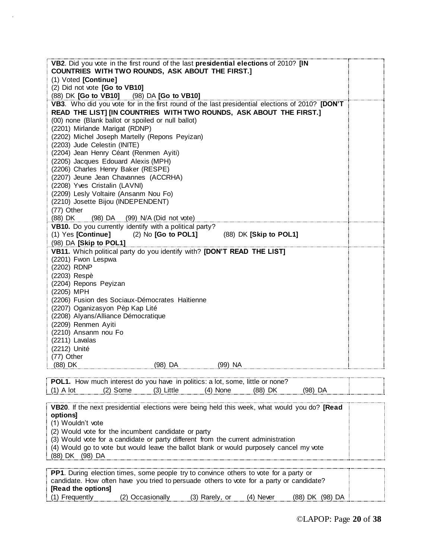| VB2. Did you vote in the first round of the last presidential elections of 2010? [IN                                     |
|--------------------------------------------------------------------------------------------------------------------------|
| COUNTRIES WITH TWO ROUNDS, ASK ABOUT THE FIRST.]                                                                         |
| (1) Voted [Continue]                                                                                                     |
| (2) Did not vote [Go to VB10]                                                                                            |
| (88) DK [Go to VB10] (98) DA [Go to VB10]                                                                                |
| VB3. Who did you vote for in the first round of the last presidential elections of 2010? [DON'T                          |
| READ THE LIST] [IN COUNTRIES WITH TWO ROUNDS, ASK ABOUT THE FIRST.]                                                      |
| (00) none (Blank ballot or spoiled or null ballot)                                                                       |
| (2201) Mirlande Marigat (RDNP)                                                                                           |
| (2202) Michel Joseph Martelly (Repons Peyizan)                                                                           |
| (2203) Jude Celestin (INITE)                                                                                             |
| (2204) Jean Henry Céant (Renmen Ayiti)                                                                                   |
| (2205) Jacques Edouard Alexis (MPH)                                                                                      |
| (2206) Charles Henry Baker (RESPE)                                                                                       |
| (2207) Jeune Jean Chavannes (ACCRHA)                                                                                     |
| (2208) Yves Cristalin (LAVNI)                                                                                            |
| (2209) Lesly Voltaire (Ansanm Nou Fo)                                                                                    |
| (2210) Josette Bijou (INDEPENDENT)                                                                                       |
| (77) Other                                                                                                               |
| (88) DK<br>(98) DA (99) N/A (Did not vote)                                                                               |
| VB10. Do you currently identify with a political party?<br>(1) Yes [Continue] (2) No [Go to POL1] (88) DK [Skip to POL1] |
| (98) DA [Skip to POL1]                                                                                                   |
|                                                                                                                          |
| VB11. Which political party do you identify with? [DON'T READ THE LIST]                                                  |
| (2201) Fwon Lespwa<br>(2202) RDNP                                                                                        |
|                                                                                                                          |
| (2203) Respè                                                                                                             |
| (2204) Repons Peyizan<br>(2205) MPH                                                                                      |
| (2206) Fusion des Sociaux-Démocrates Haïtienne                                                                           |
| (2207) Oganizasyon Pèp Kap Lité                                                                                          |
| (2208) Alyans/Alliance Démocratique                                                                                      |
| (2209) Renmen Ayiti                                                                                                      |
| (2210) Ansanm nou Fo                                                                                                     |
| (2211) Lavalas                                                                                                           |
| (2212) Unité                                                                                                             |
| (77) Other                                                                                                               |
| (88) DK<br>(98) DA<br>(99) NA                                                                                            |
|                                                                                                                          |
| POL1. How much interest do you have in politics: a lot, some, little or none?                                            |
| $(2)$ Some<br>$(3)$ Little<br>$(4)$ None<br>(88) DK<br>$(1)$ A lot<br>$(98)$ DA                                          |
|                                                                                                                          |
| VB20. If the next presidential elections were being held this week, what would you do? [Read                             |
| options]                                                                                                                 |
| (1) Wouldn't vote                                                                                                        |
| (2) Would vote for the incumbent candidate or party                                                                      |
| (3) Would vote for a candidate or party different from the current administration                                        |
| (4) Would go to vote but would leave the ballot blank or would purposely cancel my vote                                  |
| (88) DK (98) DA                                                                                                          |
|                                                                                                                          |
| <b>PP1.</b> During election times, some people try to convince others to vote for a party or                             |
| candidate. How often have you tried to persuade others to vote for a party or candidate?                                 |
| [Read the options]                                                                                                       |
| (1) Frequently<br>(2) Occasionally<br>(3) Rarely, or<br>(4) Never<br>(88) DK (98) DA                                     |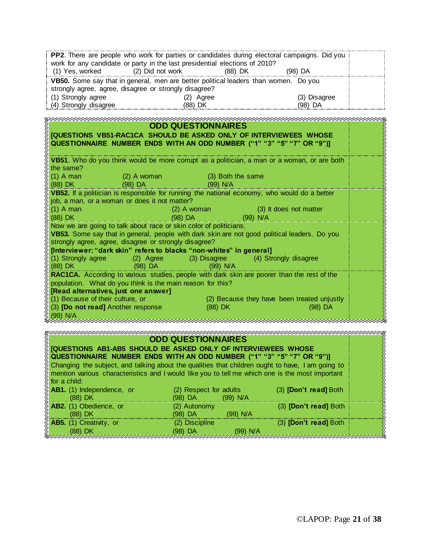|                                                                        |                                                                                     | <b>PP2.</b> There are people who work for parties or candidates during electoral campaigns. Did you |                                                                                                                       |  |  |  |  |
|------------------------------------------------------------------------|-------------------------------------------------------------------------------------|-----------------------------------------------------------------------------------------------------|-----------------------------------------------------------------------------------------------------------------------|--|--|--|--|
|                                                                        | work for any candidate or party in the last presidential elections of 2010?         |                                                                                                     |                                                                                                                       |  |  |  |  |
| (1) Yes, worked<br>(2) Did not work<br>(88) DK<br>(98) DA              |                                                                                     |                                                                                                     |                                                                                                                       |  |  |  |  |
|                                                                        | VB50. Some say that in general, men are better political leaders than women. Do you |                                                                                                     |                                                                                                                       |  |  |  |  |
| strongly agree, agree, disagree or strongly disagree?                  |                                                                                     |                                                                                                     |                                                                                                                       |  |  |  |  |
| (1) Strongly agree                                                     | (2) Agree                                                                           | (3) Disagree                                                                                        |                                                                                                                       |  |  |  |  |
| (4) Strongly disagree                                                  | (88) DK                                                                             | (98) DA                                                                                             |                                                                                                                       |  |  |  |  |
|                                                                        |                                                                                     |                                                                                                     |                                                                                                                       |  |  |  |  |
|                                                                        |                                                                                     |                                                                                                     |                                                                                                                       |  |  |  |  |
|                                                                        | <b>ODD QUESTIONNAIRES</b>                                                           |                                                                                                     |                                                                                                                       |  |  |  |  |
|                                                                        |                                                                                     | [QUESTIONS VB51-RAC1CA SHOULD BE ASKED ONLY OF INTERVIEWEES WHOSE                                   |                                                                                                                       |  |  |  |  |
|                                                                        |                                                                                     | QUESTIONNAIRE NUMBER ENDS WITH AN ODD NUMBER ("1" "3" "5" "7" OR "9")]                              |                                                                                                                       |  |  |  |  |
|                                                                        |                                                                                     |                                                                                                     |                                                                                                                       |  |  |  |  |
|                                                                        |                                                                                     | VB51. Who do you think would be more corrupt as a politician, a man or a woman, or are both         |                                                                                                                       |  |  |  |  |
| the same?                                                              |                                                                                     |                                                                                                     |                                                                                                                       |  |  |  |  |
| $(1)$ A man                                                            | $(2)$ A woman<br>(3) Both the same                                                  |                                                                                                     |                                                                                                                       |  |  |  |  |
| $(88)$ DK $\qquad$                                                     | (98) DA<br>(99) N/A                                                                 |                                                                                                     |                                                                                                                       |  |  |  |  |
|                                                                        |                                                                                     | VB52. If a politician is responsible for running the national economy, who would do a better        |                                                                                                                       |  |  |  |  |
| job, a man, or a woman or does it not matter?                          |                                                                                     |                                                                                                     |                                                                                                                       |  |  |  |  |
| $(1)$ A man                                                            | $(2)$ A woman                                                                       | (3) It does not matter                                                                              |                                                                                                                       |  |  |  |  |
| $(88)$ DK                                                              | $(98)$ DA                                                                           | (99) N/A                                                                                            |                                                                                                                       |  |  |  |  |
|                                                                        | Now we are going to talk about race or skin color of politicians.                   |                                                                                                     |                                                                                                                       |  |  |  |  |
|                                                                        |                                                                                     | VB53. Some say that in general, people with dark skin are not good political leaders. Do you        |                                                                                                                       |  |  |  |  |
|                                                                        |                                                                                     |                                                                                                     |                                                                                                                       |  |  |  |  |
| strongly agree, agree, disagree or strongly disagree?                  |                                                                                     |                                                                                                     |                                                                                                                       |  |  |  |  |
|                                                                        | [Interviewer: "dark skin" refers to blacks "non-whites" in general]                 |                                                                                                     |                                                                                                                       |  |  |  |  |
| (1) Strongly agree                                                     | (2) Agree (3) Disagree                                                              | (4) Strongly disagree                                                                               |                                                                                                                       |  |  |  |  |
| (88) DK                                                                | $(98)$ DA<br>$(99)$ N/A                                                             |                                                                                                     |                                                                                                                       |  |  |  |  |
|                                                                        |                                                                                     | RAC1CA. According to various studies, people with dark skin are poorer than the rest of the         |                                                                                                                       |  |  |  |  |
| population. What do you think is the main reason for this?             |                                                                                     |                                                                                                     |                                                                                                                       |  |  |  |  |
| [Read alternatives, just one answer]                                   |                                                                                     |                                                                                                     |                                                                                                                       |  |  |  |  |
| (1) Because of their culture, or                                       |                                                                                     | (2) Because they have been treated unjustly                                                         |                                                                                                                       |  |  |  |  |
| (3) [Do not read] Another response                                     | (88) DK                                                                             | $(98)$ DA                                                                                           |                                                                                                                       |  |  |  |  |
| $(99)$ N/A                                                             |                                                                                     |                                                                                                     |                                                                                                                       |  |  |  |  |
|                                                                        |                                                                                     |                                                                                                     |                                                                                                                       |  |  |  |  |
|                                                                        |                                                                                     |                                                                                                     |                                                                                                                       |  |  |  |  |
|                                                                        | <b>ODD QUESTIONNAIRES</b>                                                           |                                                                                                     |                                                                                                                       |  |  |  |  |
|                                                                        | [QUESTIONS AB1-AB5 SHOULD BE ASKED ONLY OF INTERVIEWEES WHOSE                       |                                                                                                     |                                                                                                                       |  |  |  |  |
|                                                                        |                                                                                     |                                                                                                     |                                                                                                                       |  |  |  |  |
|                                                                        |                                                                                     |                                                                                                     |                                                                                                                       |  |  |  |  |
| QUESTIONNAIRE NUMBER ENDS WITH AN ODD NUMBER ("1" "3" "5" "7" OR "9")] |                                                                                     |                                                                                                     |                                                                                                                       |  |  |  |  |
|                                                                        |                                                                                     | Changing the subject, and talking about the qualities that children ought to have, I am going to    |                                                                                                                       |  |  |  |  |
|                                                                        |                                                                                     | mention various characteristics and I would like you to tell me which one is the most important     |                                                                                                                       |  |  |  |  |
| for a child:                                                           |                                                                                     |                                                                                                     |                                                                                                                       |  |  |  |  |
| AB1. (1) Independence, or                                              | (2) Respect for adults                                                              | (3) [Don't read] Both                                                                               |                                                                                                                       |  |  |  |  |
| (88) DK                                                                | (98) DA<br>(99) N/A                                                                 |                                                                                                     |                                                                                                                       |  |  |  |  |
| AB2. (1) Obedience, or                                                 | (2) Autonomy                                                                        | (3) [Don't read] Both                                                                               |                                                                                                                       |  |  |  |  |
| (88) DK                                                                | (98) DA                                                                             | (99) N/A                                                                                            |                                                                                                                       |  |  |  |  |
| AB5. (1) Creativity, or<br>$(88)$ DK                                   | (2) Discipline<br>$(98)$ DA                                                         | (3) [Don't read] Both<br>(99) N/A                                                                   | <b>MARKARA MARKARA A SA MARKA A SA MARKA NA MARKA NA MARKA NA MARKA NA MARKA NA MARKA NA MARKA NA MARKA NA MARKA </b> |  |  |  |  |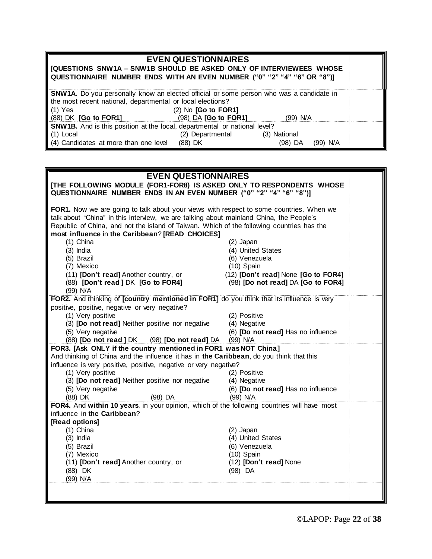| <b>EVEN QUESTIONNAIRES</b><br>   [QUESTIONS SNW1A – SNW1B SHOULD BE ASKED ONLY OF INTERVIEWEES WHOSE<br>  QUESTIONNAIRE NUMBER ENDS WITH AN EVEN NUMBER ("0" "2" "4" "6" OR "8")] |                  |              |          |  |  |  |
|-----------------------------------------------------------------------------------------------------------------------------------------------------------------------------------|------------------|--------------|----------|--|--|--|
| SNW1A. Do you personally know an elected official or some person who was a candidate in<br>the most recent national, departmental or local elections?                             |                  |              |          |  |  |  |
| $(1)$ Yes<br>$(2)$ No $[Go$ to $FOR1]$                                                                                                                                            |                  |              |          |  |  |  |
| (98) DA <b>[Go to FOR1]</b><br>$(88)$ DK $[Go$ to FOR1]<br>(99) N/A                                                                                                               |                  |              |          |  |  |  |
| SNW1B. And is this position at the local, departmental or national level?                                                                                                         |                  |              |          |  |  |  |
| $(1)$ Local                                                                                                                                                                       | (2) Departmental | (3) National |          |  |  |  |
| (4) Candidates at more than one level                                                                                                                                             | (88) DK          | (98) DA      | (99) N/A |  |  |  |

| <b>EVEN QUESTIONNAIRES</b>                                                                                                                                                           |                                     |  |  |  |
|--------------------------------------------------------------------------------------------------------------------------------------------------------------------------------------|-------------------------------------|--|--|--|
| [THE FOLLOWING MODULE (FOR1-FOR8) IS ASKED ONLY TO RESPONDENTS WHOSE                                                                                                                 |                                     |  |  |  |
| QUESTIONNAIRE NUMBER ENDS IN AN EVEN NUMBER ("0" "2" "4" "6" "8")]                                                                                                                   |                                     |  |  |  |
|                                                                                                                                                                                      |                                     |  |  |  |
| FOR1. Now we are going to talk about your views with respect to some countries. When we                                                                                              |                                     |  |  |  |
| talk about "China" in this interview, we are talking about mainland China, the People's<br>Republic of China, and not the island of Taiwan. Which of the following countries has the |                                     |  |  |  |
| most influence in the Caribbean? [READ CHOICES]                                                                                                                                      |                                     |  |  |  |
| $(1)$ China                                                                                                                                                                          | (2) Japan                           |  |  |  |
| $(3)$ India                                                                                                                                                                          | (4) United States                   |  |  |  |
| (5) Brazil                                                                                                                                                                           | (6) Venezuela                       |  |  |  |
| (7) Mexico                                                                                                                                                                           | $(10)$ Spain                        |  |  |  |
| (11) [Don't read] Another country, or                                                                                                                                                | (12) [Don't read] None [Go to FOR4] |  |  |  |
| (88) [Don't read ] DK [Go to FOR4]                                                                                                                                                   | (98) [Do not read] DA [Go to FOR4]  |  |  |  |
| (99) N/A                                                                                                                                                                             |                                     |  |  |  |
| FOR2. And thinking of [country mentioned in FOR1] do you think that its influence is very                                                                                            |                                     |  |  |  |
| positive, positive, negative or very negative?                                                                                                                                       |                                     |  |  |  |
| (1) Very positive                                                                                                                                                                    | (2) Positive                        |  |  |  |
| (3) [Do not read] Neither positive nor negative                                                                                                                                      | (4) Negative                        |  |  |  |
| (5) Very negative                                                                                                                                                                    | (6) [Do not read] Has no influence  |  |  |  |
| (88) [Do not read ] DK (98) [Do not read] DA<br>FOR3. [Ask ONLY if the country mentioned in FOR1 was NOT China]                                                                      | (99) N/A                            |  |  |  |
| And thinking of China and the influence it has in the Caribbean, do you think that this                                                                                              |                                     |  |  |  |
| influence is very positive, positive, negative or very negative?                                                                                                                     |                                     |  |  |  |
| (1) Very positive                                                                                                                                                                    | (2) Positive                        |  |  |  |
| (3) [Do not read] Neither positive nor negative                                                                                                                                      | (4) Negative                        |  |  |  |
| (5) Very negative                                                                                                                                                                    | (6) [Do not read] Has no influence  |  |  |  |
| (88) DK<br>(98) DA                                                                                                                                                                   | (99) N/A                            |  |  |  |
| FOR4. And within 10 years, in your opinion, which of the following countries will have most                                                                                          |                                     |  |  |  |
| influence in the Caribbean?                                                                                                                                                          |                                     |  |  |  |
| [Read options]                                                                                                                                                                       |                                     |  |  |  |
| $(1)$ China                                                                                                                                                                          | (2) Japan                           |  |  |  |
| $(3)$ India                                                                                                                                                                          | (4) United States                   |  |  |  |
| (5) Brazil                                                                                                                                                                           | (6) Venezuela                       |  |  |  |
| (7) Mexico                                                                                                                                                                           | $(10)$ Spain                        |  |  |  |
| (11) [Don't read] Another country, or                                                                                                                                                | (12) [Don't read] None              |  |  |  |
| (88) DK<br>(99) N/A                                                                                                                                                                  | $(98)$ DA                           |  |  |  |
|                                                                                                                                                                                      |                                     |  |  |  |
|                                                                                                                                                                                      |                                     |  |  |  |
|                                                                                                                                                                                      |                                     |  |  |  |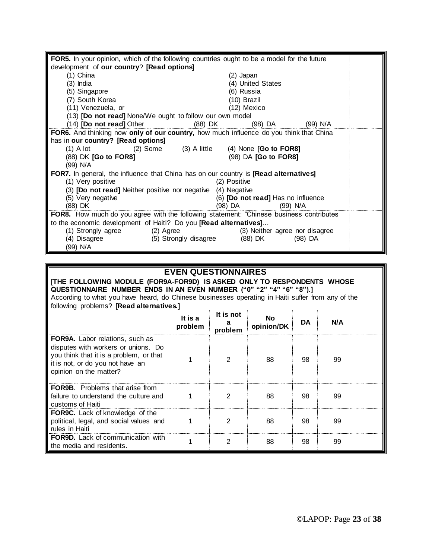| FOR5. In your opinion, which of the following countries ought to be a model for the future         |                                             |                                    |           |  |  |  |
|----------------------------------------------------------------------------------------------------|---------------------------------------------|------------------------------------|-----------|--|--|--|
| development of our country? [Read options]                                                         |                                             |                                    |           |  |  |  |
| (1) China                                                                                          |                                             | (2) Japan                          |           |  |  |  |
| (3) India                                                                                          |                                             | (4) United States                  |           |  |  |  |
| (5) Singapore                                                                                      |                                             | (6) Russia                         |           |  |  |  |
| (7) South Korea                                                                                    |                                             | (10) Brazil                        |           |  |  |  |
| (11) Venezuela, or                                                                                 |                                             | (12) Mexico                        |           |  |  |  |
| (13) [Do not read] None/We ought to follow our own model                                           |                                             |                                    |           |  |  |  |
| (14) [Do not read] Other (88) DK                                                                   |                                             |                                    | (99) N/A  |  |  |  |
| FOR6. And thinking now only of our country, how much influence do you think that China             |                                             |                                    |           |  |  |  |
| has in our country? [Read options]                                                                 |                                             |                                    |           |  |  |  |
| $(1)$ A lot                                                                                        | (2) Some (3) A little (4) None [Go to FOR8] |                                    |           |  |  |  |
| (88) DK [Go to FOR8]                                                                               |                                             | (98) DA [Go to FOR8]               |           |  |  |  |
| (99) N/A                                                                                           |                                             |                                    |           |  |  |  |
| <b>FOR7.</b> In general, the influence that China has on our country is <b>[Read alternatives]</b> |                                             |                                    |           |  |  |  |
| (1) Very positive                                                                                  | (2) Positive                                |                                    |           |  |  |  |
| (3) [Do not read] Neither positive nor negative (4) Negative                                       |                                             |                                    |           |  |  |  |
| (5) Very negative                                                                                  |                                             | (6) [Do not read] Has no influence |           |  |  |  |
| (88) DK                                                                                            |                                             | (98) DA <b>Martin</b><br>(99) N/A  |           |  |  |  |
| FOR8. How much do you agree with the following statement: "Chinese business contributes            |                                             |                                    |           |  |  |  |
| to the economic development of Haiti? Do you [Read alternatives]                                   |                                             |                                    |           |  |  |  |
| (1) Strongly agree<br>(2) Agree                                                                    |                                             | (3) Neither agree nor disagree     |           |  |  |  |
| (4) Disagree (5) Strongly disagree (88) DK                                                         |                                             |                                    | $(98)$ DA |  |  |  |
| (99) N/A                                                                                           |                                             |                                    |           |  |  |  |

## **EVEN QUESTIONNAIRES**

Ш

| [THE FOLLOWING MODULE (FOR9A-FOR9D) IS ASKED ONLY TO RESPONDENTS WHOSE<br>QUESTIONNAIRE NUMBER ENDS IN AN EVEN NUMBER ("0" "2" "4" "6" "8").]<br>According to what you have heard, do Chinese businesses operating in Haiti suffer from any of the<br>following problems? [Read alternatives.] |                    |                      |                   |    |     |  |
|------------------------------------------------------------------------------------------------------------------------------------------------------------------------------------------------------------------------------------------------------------------------------------------------|--------------------|----------------------|-------------------|----|-----|--|
|                                                                                                                                                                                                                                                                                                | It is a<br>problem | It is not<br>problem | No.<br>opinion/DK | DA | N/A |  |
| <b>FOR9A.</b> Labor relations, such as<br>disputes with workers or unions. Do<br>you think that it is a problem, or that<br>it is not, or do you not have an<br>opinion on the matter?                                                                                                         |                    | 2                    | 88                | 98 | 99  |  |
| <b>FOR9B.</b> Problems that arise from<br>failure to understand the culture and<br>customs of Haiti                                                                                                                                                                                            |                    | 2                    | 88                | 98 | 99  |  |
| <b>FOR9C.</b> Lack of knowledge of the<br>political, legal, and social values and<br>rules in Haiti                                                                                                                                                                                            |                    | 2                    | 88                | 98 | 99  |  |
| <b>FOR9D.</b> Lack of communication with<br>the media and residents.                                                                                                                                                                                                                           |                    | 2                    | 88                | 98 | 99  |  |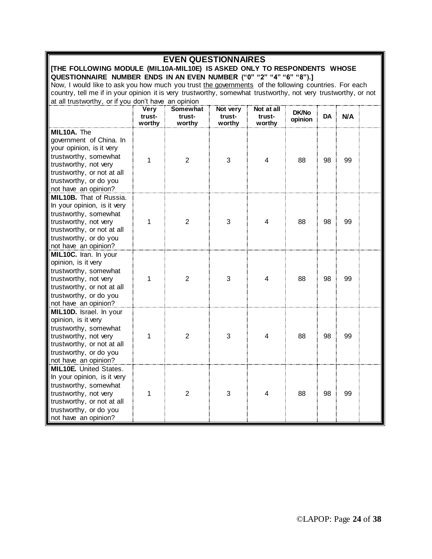| <b>EVEN QUESTIONNAIRES</b>                                               |                                                                                                                |                 |          |            |                         |    |     |  |
|--------------------------------------------------------------------------|----------------------------------------------------------------------------------------------------------------|-----------------|----------|------------|-------------------------|----|-----|--|
| [THE FOLLOWING MODULE (MIL10A-MIL10E) IS ASKED ONLY TO RESPONDENTS WHOSE |                                                                                                                |                 |          |            |                         |    |     |  |
|                                                                          | QUESTIONNAIRE NUMBER ENDS IN AN EVEN NUMBER ("0" "2" "4" "6" "8").]                                            |                 |          |            |                         |    |     |  |
|                                                                          | Now, I would like to ask you how much you trust the governments of the following countries. For each           |                 |          |            |                         |    |     |  |
|                                                                          | country, tell me if in your opinion it is very trustworthy, somewhat trustworthy, not very trustworthy, or not |                 |          |            |                         |    |     |  |
| at all trustworthy, or if you don't have an opinion                      |                                                                                                                |                 |          |            |                         |    |     |  |
|                                                                          | Very                                                                                                           | <b>Somewhat</b> | Not very | Not at all |                         |    |     |  |
|                                                                          | trust-                                                                                                         | trust-          | trust-   | trust-     | <b>DK/No</b><br>opinion | DA | N/A |  |
|                                                                          | worthy                                                                                                         | worthy          | worthy   | worthy     |                         |    |     |  |
| MIL10A. The                                                              |                                                                                                                |                 |          |            |                         |    |     |  |
| government of China. In                                                  |                                                                                                                |                 |          |            |                         |    |     |  |
| your opinion, is it very                                                 |                                                                                                                |                 |          |            |                         |    |     |  |
| trustworthy, somewhat                                                    | 1                                                                                                              | $\overline{2}$  | 3        | 4          | 88                      | 98 | 99  |  |
| trustworthy, not very                                                    |                                                                                                                |                 |          |            |                         |    |     |  |
| trustworthy, or not at all                                               |                                                                                                                |                 |          |            |                         |    |     |  |
| trustworthy, or do you                                                   |                                                                                                                |                 |          |            |                         |    |     |  |
| not have an opinion?                                                     |                                                                                                                |                 |          |            |                         |    |     |  |
| <b>MIL10B.</b> That of Russia.                                           |                                                                                                                |                 |          |            |                         |    |     |  |
| In your opinion, is it very                                              |                                                                                                                |                 |          |            |                         |    |     |  |
| trustworthy, somewhat                                                    |                                                                                                                |                 |          |            |                         |    |     |  |
| trustworthy, not very                                                    | 1                                                                                                              | 2               | 3        | 4          | 88                      | 98 | 99  |  |
| trustworthy, or not at all                                               |                                                                                                                |                 |          |            |                         |    |     |  |
| trustworthy, or do you                                                   |                                                                                                                |                 |          |            |                         |    |     |  |
| not have an opinion?                                                     |                                                                                                                |                 |          |            |                         |    |     |  |
| MIL10C. Iran. In your                                                    |                                                                                                                |                 |          |            |                         |    |     |  |
| opinion, is it very                                                      |                                                                                                                |                 |          |            |                         |    |     |  |
| trustworthy, somewhat                                                    |                                                                                                                |                 |          |            |                         |    |     |  |
| trustworthy, not very                                                    | 1                                                                                                              | $\overline{2}$  | 3        | 4          | 88                      | 98 | 99  |  |
| trustworthy, or not at all                                               |                                                                                                                |                 |          |            |                         |    |     |  |
| trustworthy, or do you                                                   |                                                                                                                |                 |          |            |                         |    |     |  |
| not have an opinion?                                                     |                                                                                                                |                 |          |            |                         |    |     |  |
| MIL10D. Israel. In your                                                  |                                                                                                                |                 |          |            |                         |    |     |  |
| opinion, is it very                                                      |                                                                                                                |                 |          |            |                         |    |     |  |
| trustworthy, somewhat                                                    |                                                                                                                |                 |          |            |                         |    |     |  |
| trustworthy, not very                                                    | 1                                                                                                              | 2               | 3        | 4          | 88                      | 98 | 99  |  |
| trustworthy, or not at all                                               |                                                                                                                |                 |          |            |                         |    |     |  |
| trustworthy, or do you                                                   |                                                                                                                |                 |          |            |                         |    |     |  |
| not have an opinion?                                                     |                                                                                                                |                 |          |            |                         |    |     |  |
| <b>MIL10E</b> , United States                                            |                                                                                                                |                 |          |            |                         |    |     |  |
| In your opinion, is it very                                              |                                                                                                                |                 |          |            |                         |    |     |  |
| trustworthy, somewhat                                                    |                                                                                                                |                 |          |            |                         |    |     |  |
| trustworthy, not very                                                    | 1                                                                                                              | $\overline{2}$  | 3        | 4          | 88                      | 98 | 99  |  |
| trustworthy, or not at all                                               |                                                                                                                |                 |          |            |                         |    |     |  |
| trustworthy, or do you                                                   |                                                                                                                |                 |          |            |                         |    |     |  |
| not have an opinion?                                                     |                                                                                                                |                 |          |            |                         |    |     |  |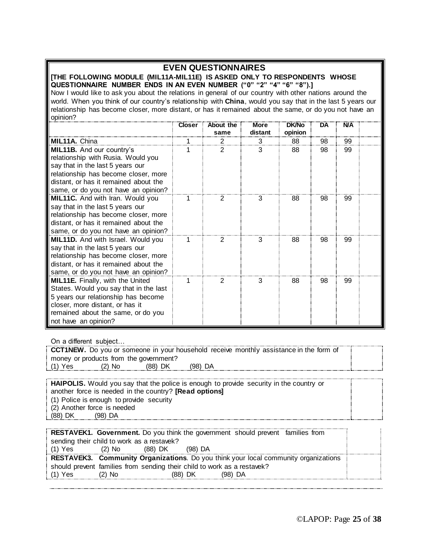## **EVEN QUESTIONNAIRES**

**[THE FOLLOWING MODULE (MIL11A-MIL11E) IS ASKED ONLY TO RESPONDENTS WHOSE QUESTIONNAIRE NUMBER ENDS IN AN EVEN NUMBER ("0" "2" "4" "6" "8").]**

Now I would like to ask you about the relations in general of our country with other nations around the world. When you think of our country's relationship with **China**, would you say that in the last 5 years our relationship has become closer, more distant, or has it remained about the same, or do you not have an opinion?

|                                           | <b>Closer</b> | About the<br>same | More<br>distant | <b>DK/No</b><br>opinion | DA | <b>N/A</b> |  |
|-------------------------------------------|---------------|-------------------|-----------------|-------------------------|----|------------|--|
| <b>MIL11A.</b> China                      |               |                   | 3               | 88                      | 98 | 99         |  |
| MIL11B. And our country's                 |               | 2                 | 3               | 88                      | 98 | 99         |  |
| relationship with Rusia. Would you        |               |                   |                 |                         |    |            |  |
| say that in the last 5 years our          |               |                   |                 |                         |    |            |  |
| relationship has become closer, more      |               |                   |                 |                         |    |            |  |
| distant, or has it remained about the     |               |                   |                 |                         |    |            |  |
| same, or do you not have an opinion?      |               |                   |                 |                         |    |            |  |
| <b>MIL11C.</b> And with Iran. Would you   |               | 2                 | 3               | 88                      | 98 | 99         |  |
| say that in the last 5 years our          |               |                   |                 |                         |    |            |  |
| relationship has become closer, more      |               |                   |                 |                         |    |            |  |
| distant, or has it remained about the     |               |                   |                 |                         |    |            |  |
| same, or do you not have an opinion?      |               |                   |                 |                         |    |            |  |
| <b>MIL11D.</b> And with Israel. Would you |               |                   | з               | 88                      | 98 | 99         |  |
| say that in the last 5 years our          |               |                   |                 |                         |    |            |  |
| relationship has become closer, more      |               |                   |                 |                         |    |            |  |
| distant, or has it remained about the     |               |                   |                 |                         |    |            |  |
| same, or do you not have an opinion?      |               |                   |                 |                         |    |            |  |
| <b>MIL11E.</b> Finally, with the United   |               | 2                 | 3               | 88                      | 98 | 99         |  |
| States. Would you say that in the last    |               |                   |                 |                         |    |            |  |
| 5 years our relationship has become       |               |                   |                 |                         |    |            |  |
| closer, more distant, or has it           |               |                   |                 |                         |    |            |  |
| remained about the same, or do you        |               |                   |                 |                         |    |            |  |
| not have an opinion?                      |               |                   |                 |                         |    |            |  |

On a different subject…

**CCT1NEW.** Do you or someone in your household receive monthly assistance in the form of money or products from the government? (1) Yes (2) No (88) DK (98) DA

| <b>HAIPOLIS.</b> Would you say that the police is enough to provide security in the country or |  |
|------------------------------------------------------------------------------------------------|--|
| another force is needed in the country? [Read options]                                         |  |
| (1) Police is enough to provide security                                                       |  |
| (2) Another force is needed                                                                    |  |
| (88) DK<br>$(98)$ DA                                                                           |  |
|                                                                                                |  |

| sending their child to work as a restavek?                                                 |  |
|--------------------------------------------------------------------------------------------|--|
| : (1) Yes<br>$(2)$ No<br>(88) DK<br>$(98)$ DA                                              |  |
| <b>RESTAVEK3. Community Organizations.</b> Do you think your local community organizations |  |
| should prevent families from sending their child to work as a restavek?                    |  |
| $(1)$ Yes<br>$(2)$ No<br>(88) DK<br>(98) DA                                                |  |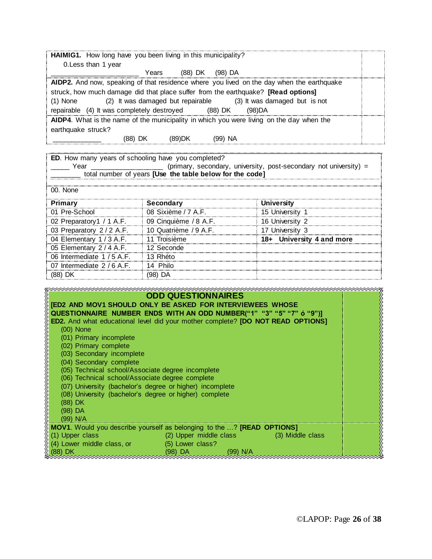| HAIMIG1. How long have you been living in this municipality?<br>0. Less than 1 year                                                                                                                                                                                                                                                |  |  |  |  |
|------------------------------------------------------------------------------------------------------------------------------------------------------------------------------------------------------------------------------------------------------------------------------------------------------------------------------------|--|--|--|--|
| (88) DK<br>(98) DA<br>Years                                                                                                                                                                                                                                                                                                        |  |  |  |  |
| AIDP2. And now, speaking of that residence where you lived on the day when the earthquake<br>struck, how much damage did that place suffer from the earthquake? [Read options]<br>(2) It was damaged but repairable (3) It was damaged but is not<br>$(1)$ None<br>repairable (4) It was completely destroyed<br>(88) DK<br>(98)DA |  |  |  |  |
| AIDP4. What is the name of the municipality in which you were living on the day when the<br>earthquake struck?<br>(99) NA<br>(88) DK<br>(89)DK                                                                                                                                                                                     |  |  |  |  |

| ED. How many years of schooling have you completed?                       |                                                          |                           |  |  |  |
|---------------------------------------------------------------------------|----------------------------------------------------------|---------------------------|--|--|--|
| (primary, secondary, university, post-secondary not university) =<br>Year |                                                          |                           |  |  |  |
|                                                                           | total number of years [Use the table below for the code] |                           |  |  |  |
|                                                                           |                                                          |                           |  |  |  |
| 00. None                                                                  |                                                          |                           |  |  |  |
| Primary                                                                   | Secondary                                                | <b>University</b>         |  |  |  |
| 01 Pre-School                                                             | 08 Sixième / 7 A.F.                                      | 15 University 1           |  |  |  |
| 02 Preparatory1 / 1 A.F.                                                  | 09 Cinquième / 8 A.F.                                    | 16 University 2           |  |  |  |
| 03 Preparatory 2/2 A.F.                                                   | 10 Quatrième / 9 A.F.                                    | 17 University 3           |  |  |  |
| 04 Elementary 1/3 A.F.                                                    | 11 Troisième                                             | 18+ University 4 and more |  |  |  |
| 05 Elementary 2/4 A.F.                                                    | 12 Seconde                                               |                           |  |  |  |
| 06 Intermediate 1 / 5 A.F.                                                | 13 Rhéto                                                 |                           |  |  |  |
| 07 Intermediate 2 / 6 A.F.                                                | 14 Philo                                                 |                           |  |  |  |
| (88) DK                                                                   | '98) DA                                                  |                           |  |  |  |

| <b>ODD QUESTIONNAIRES</b>                                                            |  |
|--------------------------------------------------------------------------------------|--|
| [ED2 AND MOV1 SHOULD ONLY BE ASKED FOR INTERVIEWEES WHOSE                            |  |
| QUESTIONNAIRE NUMBER ENDS WITH AN ODD NUMBER("1" "3" "5" "7" ó "9")]                 |  |
| ED2. And what educational level did your mother complete? [DO NOT READ OPTIONS]      |  |
| $(00)$ None                                                                          |  |
| (01) Primary incomplete                                                              |  |
| (02) Primary complete                                                                |  |
| (03) Secondary incomplete                                                            |  |
| (04) Secondary complete                                                              |  |
| (05) Technical school/Associate degree incomplete                                    |  |
| (06) Technical school/Associate degree complete                                      |  |
| (07) University (bachelor's degree or higher) incomplete                             |  |
| (08) University (bachelor's degree or higher) complete                               |  |
| (88) DK                                                                              |  |
| $(98)$ DA                                                                            |  |
| (99) N/A                                                                             |  |
| <b>MOV1.</b> Would you describe yourself as belonging to the ? <b>[READ OPTIONS]</b> |  |
| (2) Upper middle class (3) Middle class<br>(1) Upper class                           |  |
| (4) Lower middle class, or (5) Lower class?                                          |  |
| $(98)$ DA and $(98)$<br>(88) DK<br>(99) N/A                                          |  |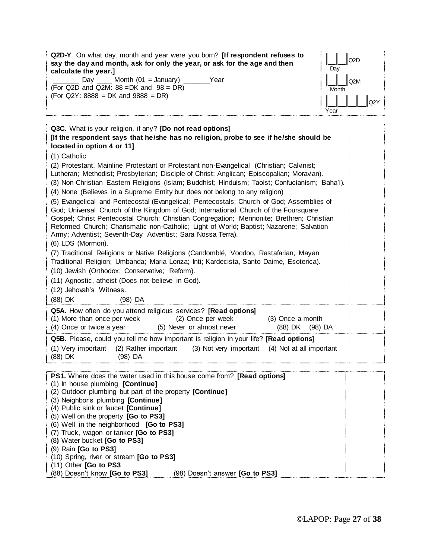| Q2D-Y. On what day, month and year were you born? [If respondent refuses to                             | Q <sub>2</sub> D |  |  |  |
|---------------------------------------------------------------------------------------------------------|------------------|--|--|--|
| say the day and month, ask for only the year, or ask for the age and then                               | Day              |  |  |  |
| calculate the year.]                                                                                    |                  |  |  |  |
| Day $\_\_\_\$ Month (01 = January) $\_\_\_\_\_\$<br>Year<br>(For Q2D and Q2M: $88 = DK$ and $98 = DR$ ) | Q <sub>2</sub> M |  |  |  |
| $(For Q2Y: 8888 = DK and 9888 = DR)$                                                                    | Month            |  |  |  |
|                                                                                                         | Q2Y              |  |  |  |
|                                                                                                         | Year             |  |  |  |
|                                                                                                         |                  |  |  |  |
| Q3C. What is your religion, if any? [Do not read options]                                               |                  |  |  |  |
| [If the respondent says that he/she has no religion, probe to see if he/she should be                   |                  |  |  |  |
| located in option 4 or 11]                                                                              |                  |  |  |  |
| (1) Catholic                                                                                            |                  |  |  |  |
| (2) Protestant, Mainline Protestant or Protestant non-Evangelical (Christian; Calvinist;                |                  |  |  |  |
| Lutheran; Methodist; Presbyterian; Disciple of Christ; Anglican; Episcopalian; Moravian).               |                  |  |  |  |
| (3) Non-Christian Eastern Religions (Islam; Buddhist; Hinduism; Taoist; Confucianism; Baha'i).          |                  |  |  |  |
| (4) None (Believes in a Supreme Entity but does not belong to any religion)                             |                  |  |  |  |
| (5) Evangelical and Pentecostal (Evangelical; Pentecostals; Church of God; Assemblies of                |                  |  |  |  |
| God; Universal Church of the Kingdom of God; International Church of the Foursquare                     |                  |  |  |  |
| Gospel; Christ Pentecostal Church; Christian Congregation; Mennonite; Brethren; Christian               |                  |  |  |  |
| Reformed Church; Charismatic non-Catholic; Light of World; Baptist; Nazarene; Salvation                 |                  |  |  |  |
| Army; Adventist; Seventh-Day Adventist; Sara Nossa Terra).                                              |                  |  |  |  |
| (6) LDS (Mormon).                                                                                       |                  |  |  |  |
| (7) Traditional Religions or Native Religions (Candomblé, Voodoo, Rastafarian, Mayan                    |                  |  |  |  |
| Traditional Religion; Umbanda; Maria Lonza; Inti; Kardecista, Santo Daime, Esoterica).                  |                  |  |  |  |
| (10) Jewish (Orthodox; Conservative; Reform).                                                           |                  |  |  |  |
| (11) Agnostic, atheist (Does not believe in God).                                                       |                  |  |  |  |
|                                                                                                         |                  |  |  |  |
| (12) Jehovah's Witness.                                                                                 |                  |  |  |  |
| (88) DK<br>(98) DA                                                                                      |                  |  |  |  |
| Q5A. How often do you attend religious services? [Read options]                                         |                  |  |  |  |
| (1) More than once per week<br>(2) Once per week<br>(3) Once a month                                    |                  |  |  |  |
| (4) Once or twice a year<br>(5) Never or almost never<br>(88) DK<br>(98) DA                             |                  |  |  |  |
| Q5B. Please, could you tell me how important is religion in your life? [Read options]                   |                  |  |  |  |
| (1) Very important<br>(2) Rather important<br>(3) Not very important<br>(4) Not at all important        |                  |  |  |  |
| (88) DK<br>(98) DA                                                                                      |                  |  |  |  |
|                                                                                                         |                  |  |  |  |
| <b>PS1.</b> Where does the water used in this house come from? <b>[Read options]</b>                    |                  |  |  |  |
| (1) In house plumbing [Continue]                                                                        |                  |  |  |  |
| (2) Outdoor plumbing but part of the property [Continue]                                                |                  |  |  |  |
| (3) Neighbor's plumbing [Continue]                                                                      |                  |  |  |  |
| (4) Public sink or faucet [Continue]                                                                    |                  |  |  |  |
| (5) Well on the property [Go to PS3]                                                                    |                  |  |  |  |
| (6) Well in the neighborhood [Go to PS3]                                                                |                  |  |  |  |
| (7) Truck, wagon or tanker [Go to PS3]                                                                  |                  |  |  |  |
| (8) Water bucket [Go to PS3]<br>(9) Rain [Go to PS3]                                                    |                  |  |  |  |
| (10) Spring, river or stream [Go to PS3]                                                                |                  |  |  |  |
| (11) Other [Go to PS3                                                                                   |                  |  |  |  |
|                                                                                                         |                  |  |  |  |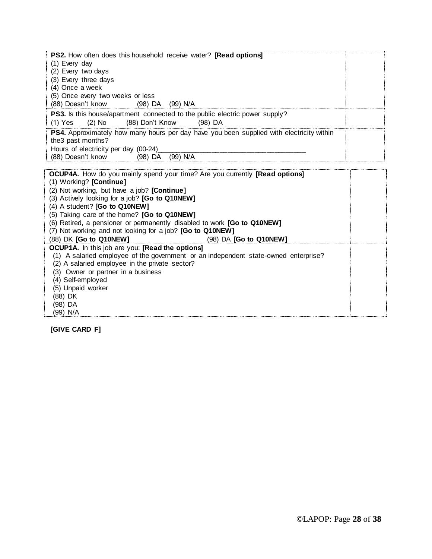| <b>PS2.</b> How often does this household receive water? <b>[Read options]</b><br>(1) Every day                |  |
|----------------------------------------------------------------------------------------------------------------|--|
| (2) Every two days                                                                                             |  |
| (3) Every three days                                                                                           |  |
| (4) Once a week                                                                                                |  |
| (5) Once every two weeks or less                                                                               |  |
| (88) Doesn't know (98) DA (99) N/A                                                                             |  |
| <b>PS3.</b> Is this house/apartment connected to the public electric power supply?                             |  |
| (1) Yes (2) No (88) Don't Know (98) DA                                                                         |  |
| PS4. Approximately how many hours per day have you been supplied with electricity within<br>the 3 past months? |  |
| Hours of electricity per day (00-24)                                                                           |  |
| (88) Doesn't know (98) DA (99) N/A                                                                             |  |
|                                                                                                                |  |
| <b>OCUP4A.</b> How do you mainly spend your time? Are you currently <b>[Read options]</b>                      |  |
| (1) Working? [Continue]                                                                                        |  |
| $(2)$ Not warking but how a job? $[Quantum]$                                                                   |  |

(2) Not working, but have a job? **[Continue]** (3) Actively looking for a job? **[Go to Q10NEW]** (4) A student? **[Go to Q10NEW]** (5) Taking care of the home? **[Go to Q10NEW]** (6) Retired, a pensioner or permanently disabled to work **[Go to Q10NEW]** (7) Not working and not looking for a job? **[Go to Q10NEW]** (88) DK **[Go to Q10NEW]** (98) DA **[Go to Q10NEW] OCUP1A.** In this job are you: **[Read the options]** (1) A salaried employee of the government or an independent state-owned enterprise? (2) A salaried employee in the private sector? (3) Owner or partner in a business (4) Self-employed (5) Unpaid worker (88) DK (98) DA (99) N/A

**[GIVE CARD F]**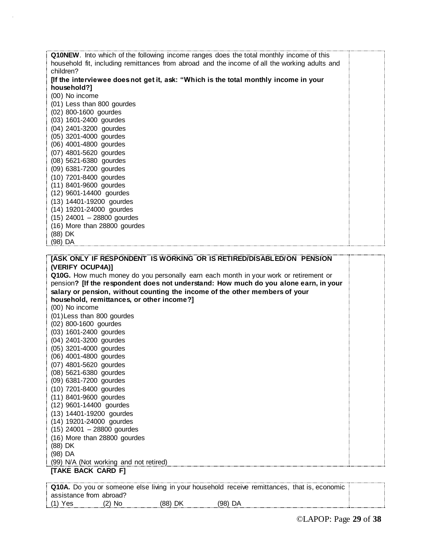| <b>Q10NEW.</b> Into which of the following income ranges does the total monthly income of this |  |
|------------------------------------------------------------------------------------------------|--|
| household fit, including remittances from abroad and the income of all the working adults and  |  |
| children?                                                                                      |  |
| [If the interviewee does not get it, ask: "Which is the total monthly income in your           |  |
| household?]                                                                                    |  |
| (00) No income                                                                                 |  |
| (01) Less than 800 gourdes                                                                     |  |
| (02) 800-1600 gourdes                                                                          |  |
| (03) 1601-2400 gourdes                                                                         |  |
| (04) 2401-3200 gourdes                                                                         |  |
| (05) 3201-4000 gourdes                                                                         |  |
| (06) 4001-4800 gourdes                                                                         |  |
| (07) 4801-5620 gourdes                                                                         |  |
| (08) 5621-6380 gourdes                                                                         |  |
| (09) 6381-7200 gourdes                                                                         |  |
| (10) 7201-8400 gourdes                                                                         |  |
| (11) 8401-9600 gourdes                                                                         |  |
| (12) 9601-14400 gourdes                                                                        |  |
| (13) 14401-19200 gourdes                                                                       |  |
| (14) 19201-24000 gourdes                                                                       |  |
| $(15)$ 24001 - 28800 gourdes                                                                   |  |
| (16) More than 28800 gourdes                                                                   |  |
| (88) DK                                                                                        |  |
| (98) DA                                                                                        |  |

| [ASK ONLY IF RESPONDENT IS WORKING OR IS RETIRED/DISABLED/ON PENSION                 |  |
|--------------------------------------------------------------------------------------|--|
| (VERIFY OCUP4A)]                                                                     |  |
| Q10G. How much money do you personally earn each month in your work or retirement or |  |
| pension? [If the respondent does not understand: How much do you alone earn, in your |  |
| salary or pension, without counting the income of the other members of your          |  |
| household, remittances, or other income?]                                            |  |
| (00) No income                                                                       |  |
| (01) Less than 800 gourdes                                                           |  |
| (02) 800-1600 gourdes                                                                |  |
| (03) 1601-2400 gourdes                                                               |  |
| (04) 2401-3200 gourdes                                                               |  |
| (05) 3201-4000 gourdes                                                               |  |
| (06) 4001-4800 gourdes                                                               |  |
| (07) 4801-5620 gourdes                                                               |  |
| (08) 5621-6380 gourdes                                                               |  |
| (09) 6381-7200 gourdes                                                               |  |
| (10) 7201-8400 gourdes                                                               |  |
| (11) 8401-9600 gourdes                                                               |  |
| (12) 9601-14400 gourdes                                                              |  |
| (13) 14401-19200 gourdes                                                             |  |
| (14) 19201-24000 gourdes                                                             |  |
| $(15)$ 24001 - 28800 gourdes                                                         |  |
| (16) More than 28800 gourdes                                                         |  |
| (88) DK                                                                              |  |
| (98) DA                                                                              |  |
| (99) N/A (Not working and not retired)                                               |  |
| [TAKE BACK CARD F]                                                                   |  |
|                                                                                      |  |

|                         |        |           |           | <b>Q10A.</b> Do you or someone else living in your household receive remittances, that is, economic |  |
|-------------------------|--------|-----------|-----------|-----------------------------------------------------------------------------------------------------|--|
| assistance from abroad? |        |           |           |                                                                                                     |  |
| $(1)$ Yes               | (2) No | $(88)$ DK | $(98)$ DA |                                                                                                     |  |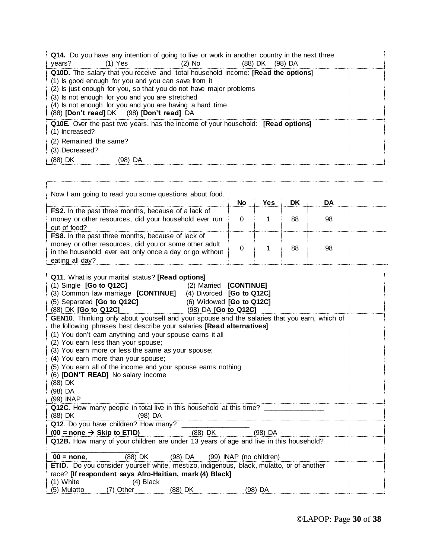| Q10D. The salary that you receive and total household income: [Read the options]<br>(1) Is good enough for you and you can save from it<br>(2) Is just enough for you, so that you do not have major problems<br>(3) Is not enough for you and you are stretched<br>(4) Is not enough for you and you are having a hard time<br>(88) [Don't read] DK (98) [Don't read] DA |  |
|---------------------------------------------------------------------------------------------------------------------------------------------------------------------------------------------------------------------------------------------------------------------------------------------------------------------------------------------------------------------------|--|
|                                                                                                                                                                                                                                                                                                                                                                           |  |
| <b>Q10E.</b> Over the past two years, has the income of your household: <b>[Read options]</b><br>(1) Increased?<br>(2) Remained the same?<br>(3) Decreased?<br>(88) DK<br>DA                                                                                                                                                                                              |  |

| Now I am going to read you some questions about food.                                                                                                                                           |    |     |    |    |  |
|-------------------------------------------------------------------------------------------------------------------------------------------------------------------------------------------------|----|-----|----|----|--|
|                                                                                                                                                                                                 | Nο | Yes | DK | nΔ |  |
| <b>FS2.</b> In the past three months, because of a lack of<br>money or other resources, did your household ever run<br>out of food?                                                             |    |     | 88 | 98 |  |
| <b>FS8.</b> In the past three months, because of lack of<br>money or other resources, did you or some other adult<br>in the household ever eat only once a day or go without<br>eating all day? |    |     | 88 | 98 |  |

| Q11. What is your marital status? [Read options]                                                 |                        |           |  |
|--------------------------------------------------------------------------------------------------|------------------------|-----------|--|
| $(1)$ Single $[Go$ to Q12C]                                                                      | (2) Married [CONTINUE] |           |  |
| (3) Common law marriage [CONTINUE] (4) Divorced [Go to Q12C]                                     |                        |           |  |
|                                                                                                  |                        |           |  |
| (5) Separated [Go to Q12C] (6) Widowed [Go to Q12C]<br>(88) DK [Go to Q12C] (98) DA [Go to Q12C] |                        |           |  |
| GEN10. Thinking only about yourself and your spouse and the salaries that you earn, which of     |                        |           |  |
| the following phrases best describe your salaries [Read alternatives]                            |                        |           |  |
| (1) You don't earn anything and your spouse earns it all                                         |                        |           |  |
| (2) You earn less than your spouse;                                                              |                        |           |  |
| (3) You earn more or less the same as your spouse;                                               |                        |           |  |
| (4) You earn more than your spouse;                                                              |                        |           |  |
| (5) You earn all of the income and your spouse earns nothing                                     |                        |           |  |
| (6) <b>[DON'T READ]</b> No salary income                                                         |                        |           |  |
| (88) DK                                                                                          |                        |           |  |
| (98) DA                                                                                          |                        |           |  |
| (99) INAP                                                                                        |                        |           |  |
| Q12C. How many people in total live in this household at this time? ___________                  |                        |           |  |
| (88) DK (98) DA                                                                                  |                        |           |  |
|                                                                                                  |                        |           |  |
| Q12. Do you have children? How many? $\frac{1}{(88) \text{ DK}}$ (98) DA (98) DA                 |                        |           |  |
| Q12B. How many of your children are under 13 years of age and live in this household?            |                        |           |  |
|                                                                                                  |                        |           |  |
| $00 = none$ , (88) DK (98) DA (99) INAP (no children)                                            |                        |           |  |
| ETID. Do you consider yourself white, mestizo, indigenous, black, mulatto, or of another         |                        |           |  |
| race? [If respondent says Afro-Haitian, mark (4) Black]                                          |                        |           |  |
| (1) White (4) Black                                                                              |                        |           |  |
| (5) Mulatto (7) Other (88) DK                                                                    |                        | $(98)$ DA |  |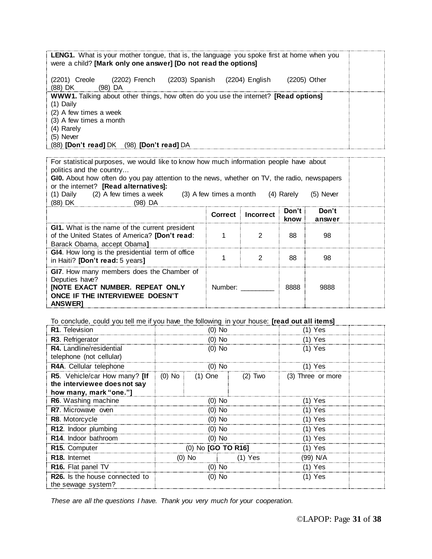|                             |                        |                                                                                                   | <b>LENG1.</b> What is your mother tongue, that is, the language you spoke first at home when you |  |
|-----------------------------|------------------------|---------------------------------------------------------------------------------------------------|--------------------------------------------------------------------------------------------------|--|
|                             |                        | were a child? [Mark only one answer] [Do not read the options]                                    |                                                                                                  |  |
|                             |                        |                                                                                                   |                                                                                                  |  |
|                             |                        |                                                                                                   |                                                                                                  |  |
| (2201) Creole               |                        | (2202) French (2203) Spanish (2204) English                                                       | (2205) Other                                                                                     |  |
| (88) DK                     | (98) DA                |                                                                                                   |                                                                                                  |  |
|                             |                        |                                                                                                   |                                                                                                  |  |
|                             |                        | <b>WWW1.</b> Talking about other things, how often do you use the internet? <b>[Read options]</b> |                                                                                                  |  |
| (1) Daily                   |                        |                                                                                                   |                                                                                                  |  |
| (2) A few times a week      |                        |                                                                                                   |                                                                                                  |  |
|                             |                        |                                                                                                   |                                                                                                  |  |
| (3) A few times a month     |                        |                                                                                                   |                                                                                                  |  |
| (4) Rarely                  |                        |                                                                                                   |                                                                                                  |  |
| $(5)$ Never                 |                        |                                                                                                   |                                                                                                  |  |
|                             |                        |                                                                                                   |                                                                                                  |  |
| (88) <b>[Don't read]</b> DK | $(98)$ [Don't read] DA |                                                                                                   |                                                                                                  |  |

For statistical purposes, we would like to know how much information people have about politics and the country...

GI0. About how often do you pay attention to the news, whether on TV, the radio, newspapers or the internet? **[Read alternatives]:** 

| (2) A few times a week<br>$(3)$ A few times a month $(4)$ Rarely<br>Daily<br>$(5)$ Never<br>(88) DK<br>(98) DA                                             |                |                  |               |                 |  |
|------------------------------------------------------------------------------------------------------------------------------------------------------------|----------------|------------------|---------------|-----------------|--|
|                                                                                                                                                            | <b>Correct</b> | <b>Incorrect</b> | Don't<br>know | Don't<br>answer |  |
| <b>GI1.</b> What is the name of the current president<br>of the United States of America? [Don't read:<br>Barack Obama, accept Obama]                      |                |                  | 88            | 98              |  |
| GI4. How long is the presidential term of office<br>in Haiti? [Don't read: 5 years]                                                                        |                |                  | 88            | 98              |  |
| GI7. How many members does the Chamber of<br>Deputies have?<br><b>[NOTE EXACT NUMBER. REPEAT ONLY</b><br>ONCE IF THE INTERVIEWEE DOESN'T<br><b>ANSWERT</b> | Number:        |                  | 8888          | 9888            |  |

To conclude, could you tell me if you have the following in your house: **[read out all items]**

| R1. Television                                                                          | (0) No                    |          |           | ) Yes             |  |
|-----------------------------------------------------------------------------------------|---------------------------|----------|-----------|-------------------|--|
| R3. Refrigerator                                                                        | $(0)$ No                  |          |           | (1) Yes           |  |
| R4. Landline/residential<br>telephone (not cellular)                                    | $(0)$ No                  |          |           | (1) Yes           |  |
| R4A. Cellular telephone                                                                 | (U) NO                    |          |           | (1) Yes           |  |
| R5. Vehicle/car How many? [If<br>the interviewee does not say<br>how many, mark "one."] | (0) No :                  | (1) One  | (2) Two   | (3) Three or more |  |
| R6. Washing machine                                                                     | (0) No                    |          | (1) Yes   |                   |  |
| R7. Microwave oven                                                                      | $(0)$ No                  |          | (1) Yes   |                   |  |
| R8. Motorcycle                                                                          | $(0)$ No                  |          |           | $(1)$ Yes         |  |
| R12. Indoor plumbing                                                                    | $(0)$ No                  |          |           | $(1)$ Yes         |  |
| R <sub>14</sub> . Indoor bathroom                                                       | (0) No                    |          |           | $(1)$ Yes         |  |
| R <sub>15</sub> . Computer                                                              | (0) No <b>[GO TO R16]</b> |          |           | $(1)$ Yes         |  |
| R <sub>18</sub> . Internet                                                              |                           | $(0)$ No | $(1)$ Yes | (99) N/A          |  |
| R16. Flat panel TV                                                                      | $(0)$ No                  |          | $(1)$ Yes |                   |  |
| <b>R26.</b> Is the house connected to<br>the sewage system?                             | (0) No                    |          | (1) Yes   |                   |  |

*These are all the questions I have. Thank you very much for your cooperation.*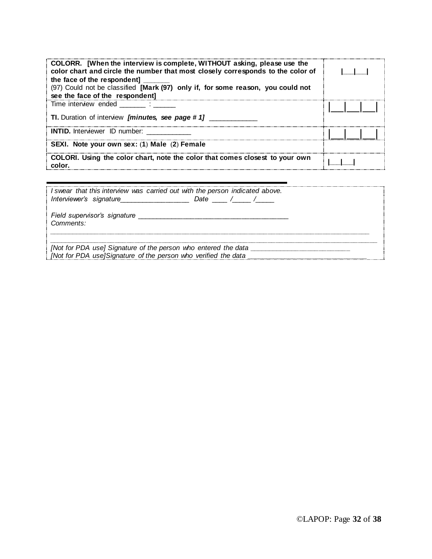| COLORR. [When the interview is complete, WITHOUT asking, please use the<br>color chart and circle the number that most closely corresponds to the color of<br>the face of the respondent]<br>(97) Could not be classified [Mark (97) only if, for some reason, you could not<br>see the face of the respondent] |  |
|-----------------------------------------------------------------------------------------------------------------------------------------------------------------------------------------------------------------------------------------------------------------------------------------------------------------|--|
| Time interview ended                                                                                                                                                                                                                                                                                            |  |
| TI. Duration of interview [minutes, see page #1]                                                                                                                                                                                                                                                                |  |
| <b>INTID.</b> Interviewer ID number:                                                                                                                                                                                                                                                                            |  |
| SEXI. Note your own sex: (1) Male (2) Female                                                                                                                                                                                                                                                                    |  |
| COLORI. Using the color chart, note the color that comes closest to your own<br>color.                                                                                                                                                                                                                          |  |

| I swear that this interview was carried out with the person indicated above.<br>Interviewer's signature<br>Date $\angle$ $\angle$ $\angle$<br>the company of the company of the company |  |
|-----------------------------------------------------------------------------------------------------------------------------------------------------------------------------------------|--|
| Field supervisor's signature<br>Comments:                                                                                                                                               |  |
| [Not for PDA use] Signature of the person who entered the data<br>[Not for PDA use]Signature of the person who verified the data                                                        |  |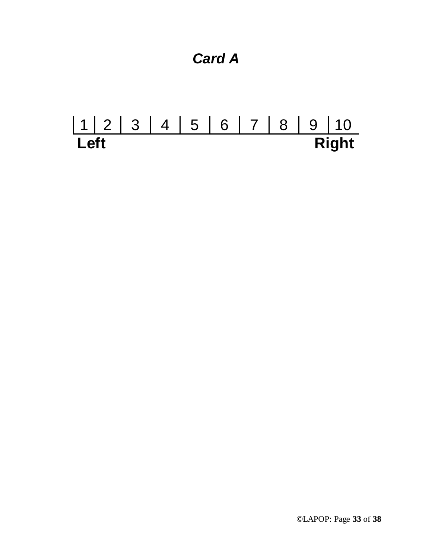

# 1 | 2 | 3 | 4 | 5 | 6 | 7 | 8 | 9 | 10 **Left Right**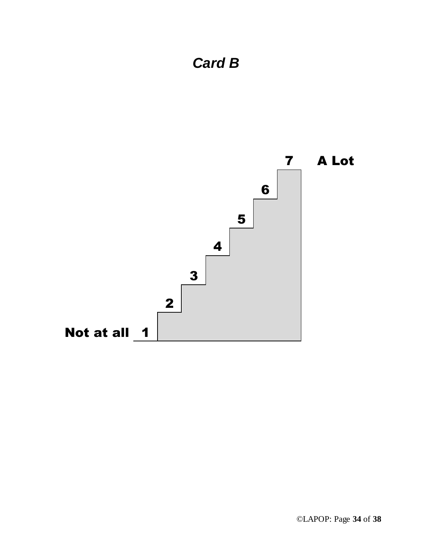

*Card B*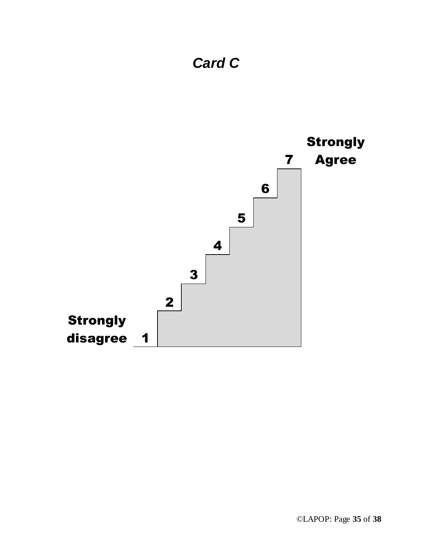

# *Card C*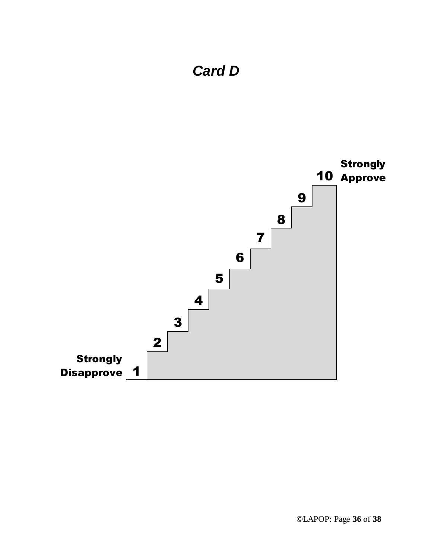

## *Card D*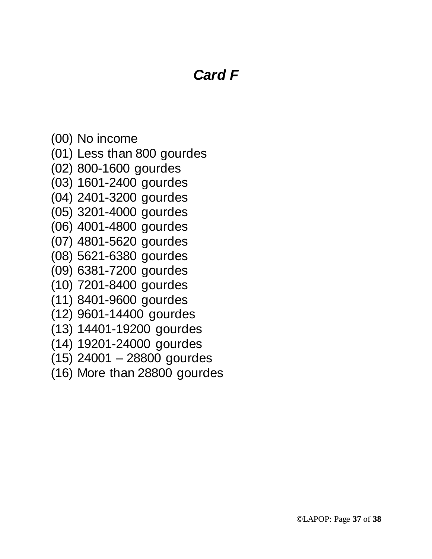# *Card F*

- (00) No income
- (01) Less than 800 gourdes
- (02) 800-1600 gourdes
- (03) 1601-2400 gourdes
- (04) 2401-3200 gourdes
- (05) 3201-4000 gourdes
- (06) 4001-4800 gourdes
- (07) 4801-5620 gourdes
- (08) 5621-6380 gourdes
- (09) 6381-7200 gourdes
- (10) 7201-8400 gourdes
- (11) 8401-9600 gourdes
- (12) 9601-14400 gourdes
- (13) 14401-19200 gourdes
- (14) 19201-24000 gourdes
- (15) 24001 28800 gourdes
- (16) More than 28800 gourdes